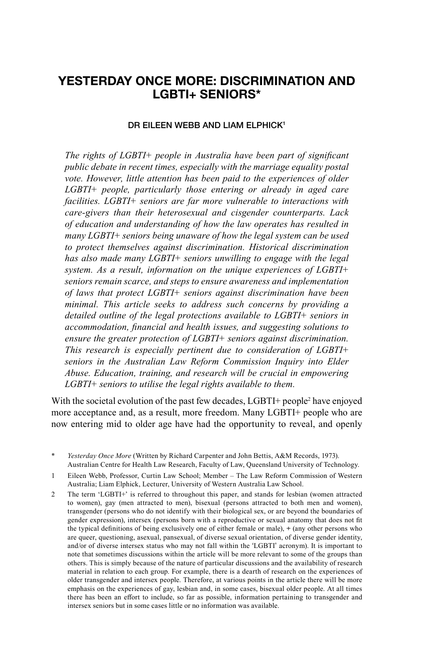# **YESTERDAY ONCE MORE: DISCRIMINATION AND LGBTI+ SENIORS\***

#### **DR EILEEN WEBB AND LIAM ELPHICK<sup>1</sup>**

*The rights of LGBTI+ people in Australia have been part of significant public debate in recent times, especially with the marriage equality postal vote. However, little attention has been paid to the experiences of older LGBTI+ people, particularly those entering or already in aged care facilities. LGBTI+ seniors are far more vulnerable to interactions with care-givers than their heterosexual and cisgender counterparts. Lack of education and understanding of how the law operates has resulted in many LGBTI+ seniors being unaware of how the legal system can be used to protect themselves against discrimination. Historical discrimination has also made many LGBTI+ seniors unwilling to engage with the legal system. As a result, information on the unique experiences of LGBTI+ seniors remain scarce, and steps to ensure awareness and implementation of laws that protect LGBTI+ seniors against discrimination have been minimal. This article seeks to address such concerns by providing a detailed outline of the legal protections available to LGBTI+ seniors in accommodation, fi nancial and health issues, and suggesting solutions to ensure the greater protection of LGBTI+ seniors against discrimination. This research is especially pertinent due to consideration of LGBTI+ seniors in the Australian Law Reform Commission Inquiry into Elder Abuse. Education, training, and research will be crucial in empowering LGBTI+ seniors to utilise the legal rights available to them.*

With the societal evolution of the past few decades, LGBTI+ people<sup>2</sup> have enjoyed more acceptance and, as a result, more freedom. Many LGBTI+ people who are now entering mid to older age have had the opportunity to reveal, and openly

Yesterday Once More (Written by Richard Carpenter and John Bettis, A&M Records, 1973). Australian Centre for Health Law Research, Faculty of Law, Queensland University of Technology.

<sup>1</sup> Eileen Webb, Professor, Curtin Law School; Member – The Law Reform Commission of Western Australia; Liam Elphick, Lecturer, University of Western Australia Law School.

<sup>2</sup> The term 'LGBTI+' is referred to throughout this paper, and stands for lesbian (women attracted to women), gay (men attracted to men), bisexual (persons attracted to both men and women), transgender (persons who do not identify with their biological sex, or are beyond the boundaries of gender expression), intersex (persons born with a reproductive or sexual anatomy that does not fit the typical definitions of being exclusively one of either female or male),  $+$  (any other persons who are queer, questioning, asexual, pansexual, of diverse sexual orientation, of diverse gender identity, and/or of diverse intersex status who may not fall within the 'LGBTI' acronym). It is important to note that sometimes discussions within the article will be more relevant to some of the groups than others. This is simply because of the nature of particular discussions and the availability of research material in relation to each group. For example, there is a dearth of research on the experiences of older transgender and intersex people. Therefore, at various points in the article there will be more emphasis on the experiences of gay, lesbian and, in some cases, bisexual older people. At all times there has been an effort to include, so far as possible, information pertaining to transgender and intersex seniors but in some cases little or no information was available.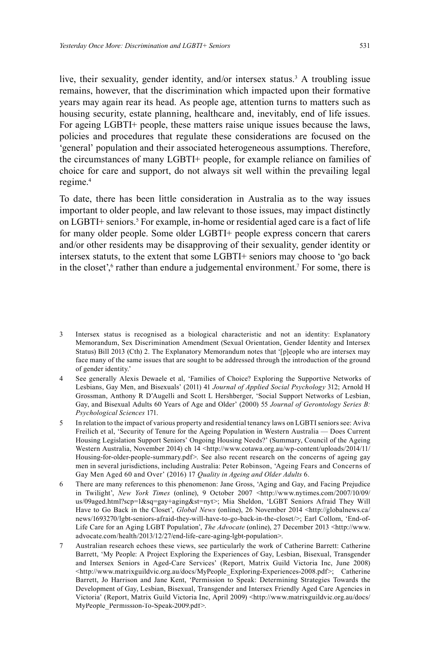live, their sexuality, gender identity, and/or intersex status. 3 A troubling issue remains, however, that the discrimination which impacted upon their formative years may again rear its head. As people age, attention turns to matters such as housing security, estate planning, healthcare and, inevitably, end of life issues. For ageing LGBTI+ people, these matters raise unique issues because the laws, policies and procedures that regulate these considerations are focused on the 'general' population and their associated heterogeneous assumptions. Therefore, the circumstances of many LGBTI+ people, for example reliance on families of choice for care and support, do not always sit well within the prevailing legal regime. 4

To date, there has been little consideration in Australia as to the way issues important to older people, and law relevant to those issues, may impact distinctly on LGBTI+ seniors. 5 For example, in-home or residential aged care is a fact of life for many older people. Some older LGBTI+ people express concern that carers and/or other residents may be disapproving of their sexuality, gender identity or intersex statuts, to the extent that some LGBTI+ seniors may choose to 'go back in the closet',<sup>6</sup> rather than endure a judgemental environment.<sup>7</sup> For some, there is

- 3 Intersex status is recognised as a biological characteristic and not an identity: Explanatory Memorandum, Sex Discrimination Amendment (Sexual Orientation, Gender Identity and Intersex Status) Bill 2013 (Cth) 2. The Explanatory Memorandum notes that '[p]eople who are intersex may face many of the same issues that are sought to be addressed through the introduction of the ground of gender identity.'
- 4 See generally Alexis Dewaele et al, 'Families of Choice? Exploring the Supportive Networks of Lesbians, Gay Men, and Bisexuals' (2011) 41 *Journal of Applied Social Psychology* 312; Arnold H Grossman, Anthony R D'Augelli and Scott L Hershberger, 'Social Support Networks of Lesbian, Gay, and Bisexual Adults 60 Years of Age and Older' (2000) 55 *Journal of Gerontology Series B: Psychological Sciences* 171.
- 5 In relation to the impact of various property and residential tenancy laws on LGBTI seniors see: Aviva Freilich et al, 'Security of Tenure for the Ageing Population in Western Australia — Does Current Housing Legislation Support Seniors' Ongoing Housing Needs?' (Summary, Council of the Ageing Western Australia, November 2014) ch 14 <http://www.cotawa.org.au/wp-content/uploads/2014/11/ Housing-for-older-people-summary.pdf>. See also recent research on the concerns of ageing gay men in several jurisdictions, including Australia: Peter Robinson, 'Ageing Fears and Concerns of Gay Men Aged 60 and Over' (2016) 17 *Quality in Ageing and Older Adults* 6.
- 6 There are many references to this phenomenon: Jane Gross, 'Aging and Gay, and Facing Prejudice in Twilight', *New York Times* (online), 9 October 2007 <http://www.nytimes.com/2007/10/09/ us/09aged.html?scp=1&sq=gay+aging&st=nyt>; Mia Sheldon, 'LGBT Seniors Afraid They Will Have to Go Back in the Closet', *Global News* (online), 26 November 2014 <http://globalnews.ca/ news/1693270/lgbt-seniors-afraid-they-will-have-to-go-back-in-the-closet/>; Earl Collom, 'End-of-Life Care for an Aging LGBT Population', *The Advocate* (online), 27 December 2013 <http://www. advocate.com/health/2013/12/27/end-life-care-aging-lgbt-population>.
- 7 Australian research echoes these views, see particularly the work of Catherine Barrett: Catherine Barrett, 'My People: A Project Exploring the Experiences of Gay, Lesbian, Bisexual, Transgender and Intersex Seniors in Aged-Care Services' (Report, Matrix Guild Victoria Inc, June 2008) <http://www.matrixguildvic.org.au/docs/MyPeople\_Exploring-Experiences-2008.pdf>; Catherine Barrett, Jo Harrison and Jane Kent, 'Permission to Speak: Determining Strategies Towards the Development of Gay, Lesbian, Bisexual, Transgender and Intersex Friendly Aged Care Agencies in Victoria' (Report, Matrix Guild Victoria Inc, April 2009) <http://www.matrixguildvic.org.au/docs/ MyPeople\_Permission-To-Speak-2009.pdf>.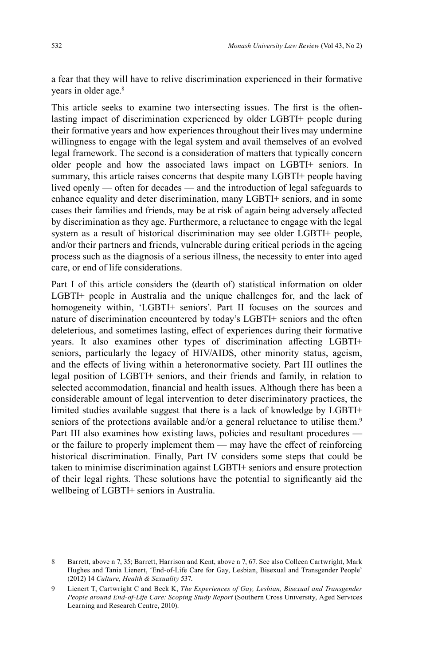a fear that they will have to relive discrimination experienced in their formative years in older age. 8

This article seeks to examine two intersecting issues. The first is the oftenlasting impact of discrimination experienced by older LGBTI+ people during their formative years and how experiences throughout their lives may undermine willingness to engage with the legal system and avail themselves of an evolved legal framework. The second is a consideration of matters that typically concern older people and how the associated laws impact on LGBTI+ seniors. In summary, this article raises concerns that despite many LGBTI+ people having lived openly — often for decades — and the introduction of legal safeguards to enhance equality and deter discrimination, many LGBTI+ seniors, and in some cases their families and friends, may be at risk of again being adversely affected by discrimination as they age. Furthermore, a reluctance to engage with the legal system as a result of historical discrimination may see older LGBTI+ people, and/or their partners and friends, vulnerable during critical periods in the ageing process such as the diagnosis of a serious illness, the necessity to enter into aged care, or end of life considerations.

Part I of this article considers the (dearth of) statistical information on older LGBTI+ people in Australia and the unique challenges for, and the lack of homogeneity within, 'LGBTI+ seniors'. Part II focuses on the sources and nature of discrimination encountered by today's LGBTI+ seniors and the often deleterious, and sometimes lasting, effect of experiences during their formative years. It also examines other types of discrimination affecting LGBTI+ seniors, particularly the legacy of HIV/AIDS, other minority status, ageism, and the effects of living within a heteronormative society. Part III outlines the legal position of LGBTI+ seniors, and their friends and family, in relation to selected accommodation, financial and health issues. Although there has been a considerable amount of legal intervention to deter discriminatory practices, the limited studies available suggest that there is a lack of knowledge by LGBTI+ seniors of the protections available and/or a general reluctance to utilise them.<sup>9</sup> Part III also examines how existing laws, policies and resultant procedures or the failure to properly implement them  $-$  may have the effect of reinforcing historical discrimination. Finally, Part IV considers some steps that could be taken to minimise discrimination against LGBTI+ seniors and ensure protection of their legal rights. These solutions have the potential to significantly aid the wellbeing of LGBTI+ seniors in Australia.

<sup>8</sup> Barrett, above n 7, 35; Barrett, Harrison and Kent, above n 7, 67. See also Colleen Cartwright, Mark Hughes and Tania Lienert, 'End-of-Life Care for Gay, Lesbian, Bisexual and Transgender People' (2012) 14 *Culture, Health & Sexuality* 537.

<sup>9</sup> Lienert T, Cartwright C and Beck K, *The Experiences of Gay, Lesbian, Bisexual and Transgender People around End-of-Life Care: Scoping Study Report* (Southern Cross University, Aged Services Learning and Research Centre, 2010).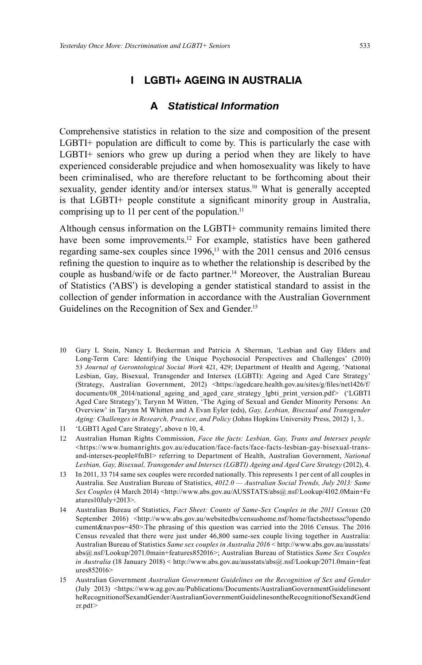# **I LGBTI+ AGEING IN AUSTRALIA**

# **A** *Statistical Information*

Comprehensive statistics in relation to the size and composition of the present  $LGBTI+$  population are difficult to come by. This is particularly the case with LGBTI+ seniors who grew up during a period when they are likely to have experienced considerable prejudice and when homosexuality was likely to have been criminalised, who are therefore reluctant to be forthcoming about their sexuality, gender identity and/or intersex status. 10 What is generally accepted is that  $L$ GBTI+ people constitute a significant minority group in Australia, comprising up to 11 per cent of the population. 11

Although census information on the LGBTI+ community remains limited there have been some improvements. 12 For example, statistics have been gathered regarding same-sex couples since 1996,<sup>13</sup> with the 2011 census and 2016 census refining the question to inquire as to whether the relationship is described by the couple as husband/wife or de facto partner. 14 Moreover, the Australian Bureau of Statistics ('ABS') is developing a gender statistical standard to assist in the collection of gender information in accordance with the Australian Government Guidelines on the Recognition of Sex and Gender. 15

- 10 Gary L Stein, Nancy L Beckerman and Patricia A Sherman, 'Lesbian and Gay Elders and Long-Term Care: Identifying the Unique Psychosocial Perspectives and Challenges' (2010) 53 *Journal of Gerontological Social Work* 421, 429; Department of Health and Ageing, 'National Lesbian, Gay, Bisexual, Transgender and Intersex (LGBTI): Ageing and Aged Care Strategy' (Strategy, Australian Government, 2012) <https://agedcare.health.gov.au/sites/g/files/net1426/f/ documents/08\_2014/national\_ageing\_and\_aged\_care\_strategy\_lgbti\_print\_version.pdf> ('LGBTI Aged Care Strategy'); Tarynn M Witten, 'The Aging of Sexual and Gender Minority Persons: An Overview' in Tarynn M Whitten and A Evan Eyler (eds), *Gay, Lesbian, Bisexual and Transgender Aging: Challenges in Research, Practice, and Policy* (Johns Hopkins University Press, 2012) 1, 3..
- 11 'LGBTI Aged Care Strategy', above n 10, 4.
- 12 Australian Human Rights Commission, *Face the facts: Lesbian, Gay, Trans and Intersex people* <https://www.humanrights.gov.au/education/face-facts/face-facts-lesbian-gay-bisexual-transand-intersex-people#fnB1> referring to Department of Health, Australian Government, *National Lesbian, Gay, Bisexual, Transgender and Intersex (LGBTI) Ageing and Aged Care Strategy* (2012), 4.
- 13 In 2011, 33 714 same sex couples were recorded nationally. This represents 1 per cent of all couples in Australia. See Australian Bureau of Statistics, *4012.0 — Australian Social Trends, July 2013: Same* Sex Couples (4 March 2014) <http://www.abs.gov.au/AUSSTATS/abs@.nsf/Lookup/4102.0Main+Fe atures10July+2013>.
- 14 Australian Bureau of Statistics, *Fact Sheet: Counts of Same-Sex Couples in the 2011 Census* (20 September 2016) <http://www.abs.gov.au/websitedbs/censushome.nsf/home/factsheetsssc?opendo cument&navpos=450>.The phrasing of this question was carried into the 2016 Census. The 2016 Census revealed that there were just under 46,800 same-sex couple living together in Australia: Australian Bureau of Statistics *Same sex couples in Australia 2016* < http://www.abs.gov.au/ausstats/ abs@.nsf/Lookup/2071.0main+features852016>; Australian Bureau of Statistics *Same Sex Couples in Australia* (18 January 2018) < http://www.abs.gov.au/ausstats/abs@.nsf/Lookup/2071.0main+feat ures852016>
- 15 Australian Government *Australian Government Guidelines on the Recognition of Sex and Gender*  (July 2013) <https://www.ag.gov.au/Publications/Documents/AustralianGovernmentGuidelinesont heRecognitionofSexandGender/AustralianGovernmentGuidelinesontheRecognitionofSexandGend er.pdf>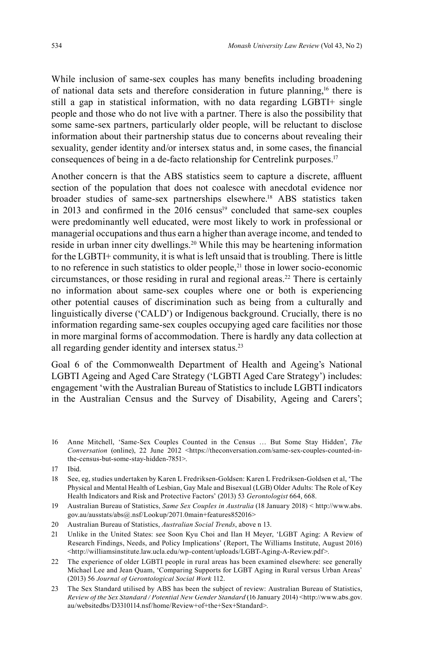While inclusion of same-sex couples has many benefits including broadening of national data sets and therefore consideration in future planning,<sup>16</sup> there is still a gap in statistical information, with no data regarding LGBTI+ single people and those who do not live with a partner. There is also the possibility that some same-sex partners, particularly older people, will be reluctant to disclose information about their partnership status due to concerns about revealing their sexuality, gender identity and/or intersex status and, in some cases, the financial consequences of being in a de-facto relationship for Centrelink purposes. 17

Another concern is that the ABS statistics seem to capture a discrete, affluent section of the population that does not coalesce with anecdotal evidence nor broader studies of same-sex partnerships elsewhere. 18 ABS statistics taken in 2013 and confirmed in the 2016 census<sup>19</sup> concluded that same-sex couples were predominantly well educated, were most likely to work in professional or managerial occupations and thus earn a higher than average income, and tended to reside in urban inner city dwellings. 20 While this may be heartening information for the LGBTI+ community, it is what is left unsaid that is troubling. There is little to no reference in such statistics to older people,<sup>21</sup> those in lower socio-economic circumstances, or those residing in rural and regional areas. 22 There is certainly no information about same-sex couples where one or both is experiencing other potential causes of discrimination such as being from a culturally and linguistically diverse ('CALD') or Indigenous background. Crucially, there is no information regarding same-sex couples occupying aged care facilities nor those in more marginal forms of accommodation. There is hardly any data collection at all regarding gender identity and intersex status.<sup>23</sup>

Goal 6 of the Commonwealth Department of Health and Ageing's National LGBTI Ageing and Aged Care Strategy ('LGBTI Aged Care Strategy') includes: engagement 'with the Australian Bureau of Statistics to include LGBTI indicators in the Australian Census and the Survey of Disability, Ageing and Carers';

16 Anne Mitchell, 'Same-Sex Couples Counted in the Census … But Some Stay Hidden', *The Conversation* (online), 22 June 2012 <https://theconversation.com/same-sex-couples-counted-inthe-census-but-some-stay-hidden-7851>.

- 18 See, eg, studies undertaken by Karen L Fredriksen-Goldsen: Karen L Fredriksen-Goldsen et al, 'The Physical and Mental Health of Lesbian, Gay Male and Bisexual (LGB) Older Adults: The Role of Key Health Indicators and Risk and Protective Factors' (2013) 53 *Gerontologist* 664, 668.
- 19 Australian Bureau of Statistics, *Same Sex Couples in Australia* (18 January 2018) < http://www.abs. gov.au/ausstats/abs@.nsf/Lookup/2071.0main+features852016>
- 20 Australian Bureau of Statistics, *Australian Social Trends*, above n 13.
- 21 Unlike in the United States: see Soon Kyu Choi and Ilan H Meyer, 'LGBT Aging: A Review of Research Findings, Needs, and Policy Implications' (Report, The Williams Institute, August 2016) <http://williamsinstitute.law.ucla.edu/wp-content/uploads/LGBT-Aging-A-Review.pdf>.
- 22 The experience of older LGBTI people in rural areas has been examined elsewhere: see generally Michael Lee and Jean Quam, 'Comparing Supports for LGBT Aging in Rural versus Urban Areas' (2013) 56 *Journal of Gerontological Social Work* 112.
- 23 The Sex Standard utilised by ABS has been the subject of review: Australian Bureau of Statistics, *Review of the Sex Standard / Potential New Gender Standard* (16 January 2014) <http://www.abs.gov. au/websitedbs/D3310114.nsf/home/Review+of+the+Sex+Standard>.

<sup>17</sup> Ibid.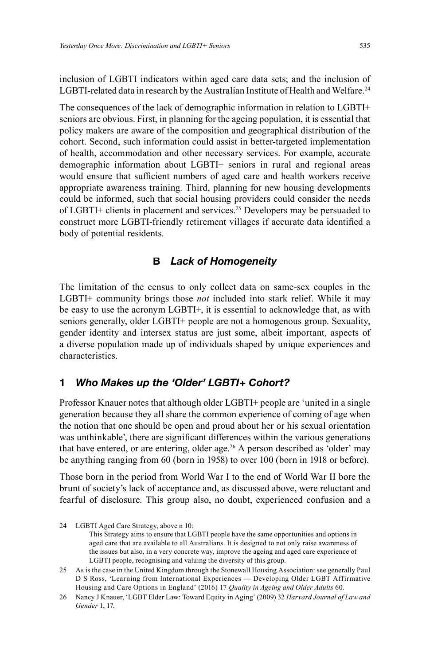inclusion of LGBTI indicators within aged care data sets; and the inclusion of LGBTI-related data in research by the Australian Institute of Health and Welfare.<sup>24</sup>

The consequences of the lack of demographic information in relation to LGBTI+ seniors are obvious. First, in planning for the ageing population, it is essential that policy makers are aware of the composition and geographical distribution of the cohort. Second, such information could assist in better-targeted implementation of health, accommodation and other necessary services. For example, accurate demographic information about LGBTI+ seniors in rural and regional areas would ensure that sufficient numbers of aged care and health workers receive appropriate awareness training. Third, planning for new housing developments could be informed, such that social housing providers could consider the needs of LGBTI+ clients in placement and services. 25 Developers may be persuaded to construct more LGBTI-friendly retirement villages if accurate data identified a body of potential residents.

# **B** *Lack of Homogeneity*

The limitation of the census to only collect data on same-sex couples in the LGBTI+ community brings those *not* included into stark relief. While it may be easy to use the acronym LGBTI+, it is essential to acknowledge that, as with seniors generally, older LGBTI+ people are not a homogenous group. Sexuality, gender identity and intersex status are just some, albeit important, aspects of a diverse population made up of individuals shaped by unique experiences and characteristics.

### **1** *Who Makes up the 'Older' LGBTI+ Cohort?*

Professor Knauer notes that although older LGBTI+ people are 'united in a single generation because they all share the common experience of coming of age when the notion that one should be open and proud about her or his sexual orientation was unthinkable', there are significant differences within the various generations that have entered, or are entering, older age. <sup>26</sup> A person described as 'older' may be anything ranging from 60 (born in 1958) to over 100 (born in 1918 or before).

Those born in the period from World War I to the end of World War II bore the brunt of society's lack of acceptance and, as discussed above, were reluctant and fearful of disclosure. This group also, no doubt, experienced confusion and a

 This Strategy aims to ensure that LGBTI people have the same opportunities and options in aged care that are available to all Australians. It is designed to not only raise awareness of the issues but also, in a very concrete way, improve the ageing and aged care experience of LGBTI people, recognising and valuing the diversity of this group.

<sup>24</sup> LGBTI Aged Care Strategy, above n 10:

<sup>25</sup> As is the case in the United Kingdom through the Stonewall Housing Association: see generally Paul D S Ross, 'Learning from International Experiences — Developing Older LGBT Affirmative Housing and Care Options in England' (2016) 17 *Quality in Ageing and Older Adults* 60.

<sup>26</sup> Nancy J Knauer, 'LGBT Elder Law: Toward Equity in Aging' (2009) 32 *Harvard Journal of Law and Gender* 1, 17.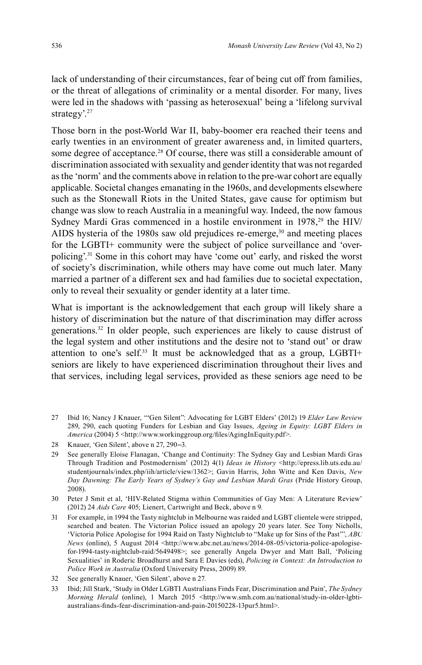lack of understanding of their circumstances, fear of being cut off from families, or the threat of allegations of criminality or a mental disorder. For many, lives were led in the shadows with 'passing as heterosexual' being a 'lifelong survival strategy'.<sup>27</sup>

Those born in the post-World War II, baby-boomer era reached their teens and early twenties in an environment of greater awareness and, in limited quarters, some degree of acceptance. 28 Of course, there was still a considerable amount of discrimination associated with sexuality and gender identity that was not regarded as the 'norm' and the comments above in relation to the pre-war cohort are equally applicable. Societal changes emanating in the 1960s, and developments elsewhere such as the Stonewall Riots in the United States, gave cause for optimism but change was slow to reach Australia in a meaningful way. Indeed, the now famous Sydney Mardi Gras commenced in a hostile environment in 1978,<sup>29</sup> the HIV/ AIDS hysteria of the 1980s saw old prejudices re-emerge,<sup>30</sup> and meeting places for the LGBTI+ community were the subject of police surveillance and 'overpolicing'. 31 Some in this cohort may have 'come out' early, and risked the worst of society's discrimination, while others may have come out much later. Many married a partner of a different sex and had families due to societal expectation, only to reveal their sexuality or gender identity at a later time.

What is important is the acknowledgement that each group will likely share a history of discrimination but the nature of that discrimination may differ across generations. 32 In older people, such experiences are likely to cause distrust of the legal system and other institutions and the desire not to 'stand out' or draw attention to one's self. 33 It must be acknowledged that as a group, LGBTI+ seniors are likely to have experienced discrimination throughout their lives and that services, including legal services, provided as these seniors age need to be

27 Ibid 16; Nancy J Knauer, '"Gen Silent": Advocating for LGBT Elders' (2012) 19 *Elder Law Review* 289, 290, each quoting Funders for Lesbian and Gay Issues, *Ageing in Equity: LGBT Elders in America* (2004) 5 <http://www.workinggroup.org/files/AgingInEquity.pdf>.

29 See generally Eloise Flanagan, 'Change and Continuity: The Sydney Gay and Lesbian Mardi Gras Through Tradition and Postmodernism' (2012) 4(1) *Ideas in History* <http://epress.lib.uts.edu.au/ studentjournals/index.php/iih/article/view/1362>; Gavin Harris, John Witte and Ken Davis, *New Day Dawning: The Early Years of Sydney's Gay and Lesbian Mardi Gras* (Pride History Group, 2008).

31 For example, in 1994 the Tasty nightclub in Melbourne was raided and LGBT clientele were stripped, searched and beaten. The Victorian Police issued an apology 20 years later. See Tony Nicholls, 'Victoria Police Apologise for 1994 Raid on Tasty Nightclub to "Make up for Sins of the Past"', *ABC News* (online), 5 August 2014 <http://www.abc.net.au/news/2014-08-05/victoria-police-apologisefor-1994-tasty-nightclub-raid/5649498>; see generally Angela Dwyer and Matt Ball, 'Policing Sexualities' in Roderic Broadhurst and Sara E Davies (eds), *Policing in Context: An Introduction to Police Work in Australia* (Oxford University Press, 2009) 89.

33 Ibid; Jill Stark, 'Study in Older LGBTI Australians Finds Fear, Discrimination and Pain', *The Sydney Morning Herald* (online), 1 March 2015 <http://www.smh.com.au/national/study-in-older-lgbtiaustralians-finds-fear-discrimination-and-pain-20150228-13pur5.html>.

<sup>28</sup> Knauer, 'Gen Silent', above n 27, 290–3.

<sup>30</sup> Peter J Smit et al, 'HIV-Related Stigma within Communities of Gay Men: A Literature Review' (2012) 24 *Aids Care* 405; Lienert, Cartwright and Beck, above n 9.

<sup>32</sup> See generally Knauer, 'Gen Silent', above n 27.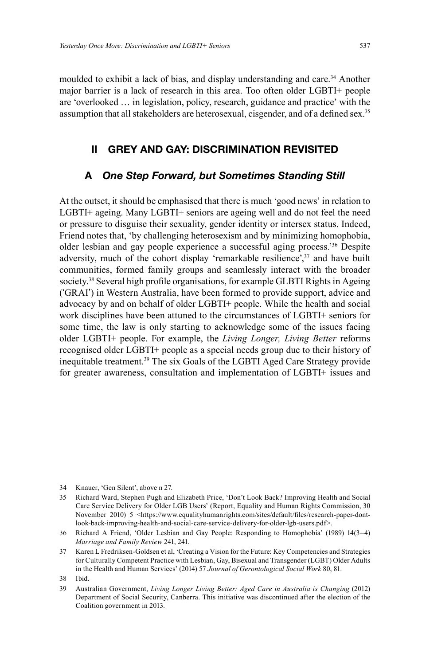moulded to exhibit a lack of bias, and display understanding and care. 34 Another major barrier is a lack of research in this area. Too often older LGBTI+ people are 'overlooked … in legislation, policy, research, guidance and practice' with the assumption that all stakeholders are heterosexual, cisgender, and of a defined sex.<sup>35</sup>

# **II GREY AND GAY: DISCRIMINATION REVISITED**

# **A** *One Step Forward, but Sometimes Standing Still*

At the outset, it should be emphasised that there is much 'good news' in relation to LGBTI+ ageing. Many LGBTI+ seniors are ageing well and do not feel the need or pressure to disguise their sexuality, gender identity or intersex status. Indeed, Friend notes that, 'by challenging heterosexism and by minimizing homophobia, older lesbian and gay people experience a successful aging process.' 36 Despite adversity, much of the cohort display 'remarkable resilience',<sup>37</sup> and have built communities, formed family groups and seamlessly interact with the broader society.<sup>38</sup> Several high profile organisations, for example GLBTI Rights in Ageing ('GRAI') in Western Australia, have been formed to provide support, advice and advocacy by and on behalf of older LGBTI+ people. While the health and social work disciplines have been attuned to the circumstances of LGBTI+ seniors for some time, the law is only starting to acknowledge some of the issues facing older LGBTI+ people. For example, the *Living Longer, Living Better* reforms recognised older LGBTI+ people as a special needs group due to their history of inequitable treatment.<sup>39</sup> The six Goals of the LGBTI Aged Care Strategy provide for greater awareness, consultation and implementation of LGBTI+ issues and

<sup>34</sup> Knauer, 'Gen Silent', above n 27.

<sup>35</sup> Richard Ward, Stephen Pugh and Elizabeth Price, 'Don't Look Back? Improving Health and Social Care Service Delivery for Older LGB Users' (Report, Equality and Human Rights Commission, 30 November 2010) 5 <https://www.equalityhumanrights.com/sites/default/files/research-paper-dontlook-back-improving-health-and-social-care-service-delivery-for-older-lgb-users.pdf>.

<sup>36</sup> Richard A Friend, 'Older Lesbian and Gay People: Responding to Homophobia' (1989) 14(3–4) *Marriage and Family Review* 241, 241.

<sup>37</sup> Karen L Fredriksen-Goldsen et al, 'Creating a Vision for the Future: Key Competencies and Strategies for Culturally Competent Practice with Lesbian, Gay, Bisexual and Transgender (LGBT) Older Adults in the Health and Human Services' (2014) 57 *Journal of Gerontological Social Work* 80, 81.

<sup>38</sup> Ibid.

<sup>39</sup> Australian Government, *Living Longer Living Better: Aged Care in Australia is Changing* (2012) Department of Social Security, Canberra. This initiative was discontinued after the election of the Coalition government in 2013.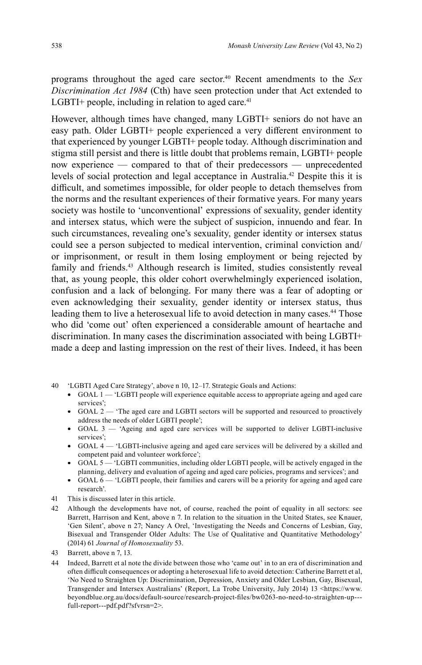programs throughout the aged care sector. 40 Recent amendments to the *Sex Discrimination Act 1984* (Cth) have seen protection under that Act extended to LGBTI+ people, including in relation to aged care.<sup>41</sup>

However, although times have changed, many LGBTI+ seniors do not have an easy path. Older LGBTI+ people experienced a very different environment to that experienced by younger LGBTI+ people today. Although discrimination and stigma still persist and there is little doubt that problems remain, LGBTI+ people now experience — compared to that of their predecessors — unprecedented levels of social protection and legal acceptance in Australia. 42 Despite this it is difficult, and sometimes impossible, for older people to detach themselves from the norms and the resultant experiences of their formative years. For many years society was hostile to 'unconventional' expressions of sexuality, gender identity and intersex status, which were the subject of suspicion, innuendo and fear. In such circumstances, revealing one's sexuality, gender identity or intersex status could see a person subjected to medical intervention, criminal conviction and/ or imprisonment, or result in them losing employment or being rejected by family and friends. 43 Although research is limited, studies consistently reveal that, as young people, this older cohort overwhelmingly experienced isolation, confusion and a lack of belonging. For many there was a fear of adopting or even acknowledging their sexuality, gender identity or intersex status, thus leading them to live a heterosexual life to avoid detection in many cases. 44 Those who did 'come out' often experienced a considerable amount of heartache and discrimination. In many cases the discrimination associated with being LGBTI+ made a deep and lasting impression on the rest of their lives. Indeed, it has been

- 40 'LGBTI Aged Care Strategy', above n 10, 12–17. Strategic Goals and Actions:
	- GOAL  $1 1$  LGBTI people will experience equitable access to appropriate ageing and aged care services';
	- GOAL 2 'The aged care and LGBTI sectors will be supported and resourced to proactively address the needs of older LGBTI people';
	- GOAL 3 'Ageing and aged care services will be supported to deliver LGBTI-inclusive services';
	- GOAL 4 'LGBTI-inclusive ageing and aged care services will be delivered by a skilled and competent paid and volunteer workforce';
	- GOAL 5 'LGBTI communities, including older LGBTI people, will be actively engaged in the planning, delivery and evaluation of ageing and aged care policies, programs and services'; and
	- $GOAL 6$  'LGBTI people, their families and carers will be a priority for ageing and aged care research'.
- 41 This is discussed later in this article.
- 42 Although the developments have not, of course, reached the point of equality in all sectors: see Barrett, Harrison and Kent, above n 7. In relation to the situation in the United States, see Knauer, 'Gen Silent', above n 27; Nancy A Orel, 'Investigating the Needs and Concerns of Lesbian, Gay, Bisexual and Transgender Older Adults: The Use of Qualitative and Quantitative Methodology' (2014) 61 *Journal of Homosexuality* 53.

44 Indeed, Barrett et al note the divide between those who 'came out' in to an era of discrimination and often difficult consequences or adopting a heterosexual life to avoid detection: Catherine Barrett et al, 'No Need to Straighten Up: Discrimination, Depression, Anxiety and Older Lesbian, Gay, Bisexual, Transgender and Intersex Australians' (Report, La Trobe University, July 2014) 13 <https://www. beyondblue.org.au/docs/default-source/research-project-fi les/bw0263-no-need-to-straighten-up-- full-report---pdf.pdf?sfvrsn=2>.

<sup>43</sup> Barrett, above n 7, 13.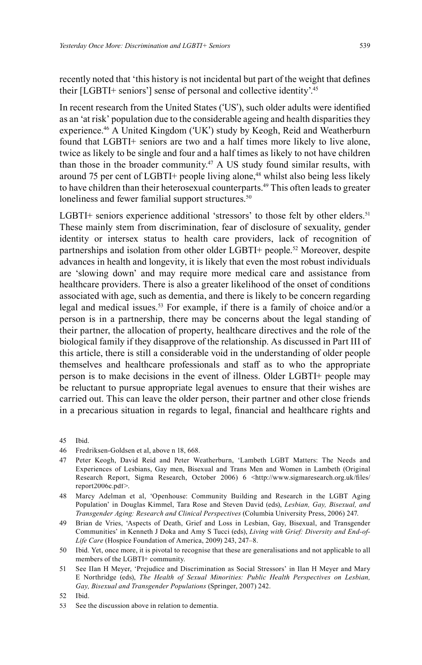recently noted that 'this history is not incidental but part of the weight that defines their [LGBTI+ seniors'] sense of personal and collective identity'. 45

In recent research from the United States ('US'), such older adults were identified as an 'at risk' population due to the considerable ageing and health disparities they experience. 46 A United Kingdom ('UK') study by Keogh, Reid and Weatherburn found that LGBTI+ seniors are two and a half times more likely to live alone, twice as likely to be single and four and a half times as likely to not have children than those in the broader community. 47 A US study found similar results, with around 75 per cent of LGBTI+ people living alone,<sup>48</sup> whilst also being less likely to have children than their heterosexual counterparts. 49 This often leads to greater loneliness and fewer familial support structures.<sup>50</sup>

LGBTI+ seniors experience additional 'stressors' to those felt by other elders.<sup>51</sup> These mainly stem from discrimination, fear of disclosure of sexuality, gender identity or intersex status to health care providers, lack of recognition of partnerships and isolation from other older LGBTI+ people. 52 Moreover, despite advances in health and longevity, it is likely that even the most robust individuals are 'slowing down' and may require more medical care and assistance from healthcare providers. There is also a greater likelihood of the onset of conditions associated with age, such as dementia, and there is likely to be concern regarding legal and medical issues. 53 For example, if there is a family of choice and/or a person is in a partnership, there may be concerns about the legal standing of their partner, the allocation of property, healthcare directives and the role of the biological family if they disapprove of the relationship. As discussed in Part III of this article, there is still a considerable void in the understanding of older people themselves and healthcare professionals and staff as to who the appropriate person is to make decisions in the event of illness. Older LGBTI+ people may be reluctant to pursue appropriate legal avenues to ensure that their wishes are carried out. This can leave the older person, their partner and other close friends in a precarious situation in regards to legal, financial and healthcare rights and

- 47 Peter Keogh, David Reid and Peter Weatherburn, 'Lambeth LGBT Matters: The Needs and Experiences of Lesbians, Gay men, Bisexual and Trans Men and Women in Lambeth (Original Research Report, Sigma Research, October 2006) 6 <http://www.sigmaresearch.org.uk/files/ report2006c.pdf>.
- 48 Marcy Adelman et al, 'Openhouse: Community Building and Research in the LGBT Aging Population' in Douglas Kimmel, Tara Rose and Steven David (eds), *Lesbian, Gay, Bisexual, and Transgender Aging: Research and Clinical Perspectives* (Columbia University Press, 2006) 247.
- 49 Brian de Vries, 'Aspects of Death, Grief and Loss in Lesbian, Gay, Bisexual, and Transgender Communities' in Kenneth J Doka and Amy S Tucci (eds), *Living with Grief: Diversity and End-of-Life Care* (Hospice Foundation of America, 2009) 243, 247–8.
- 50 Ibid. Yet, once more, it is pivotal to recognise that these are generalisations and not applicable to all members of the LGBTI+ community.
- 51 See IIan H Meyer, 'Prejudice and Discrimination as Social Stressors' in Ilan H Meyer and Mary E Northridge (eds), *The Health of Sexual Minorities: Public Health Perspectives on Lesbian, Gay, Bisexual and Transgender Populations* (Springer, 2007) 242.
- 52 Ibid.
- 53 See the discussion above in relation to dementia.

<sup>45</sup> Ibid.

<sup>46</sup> Fredriksen-Goldsen et al, above n 18, 668.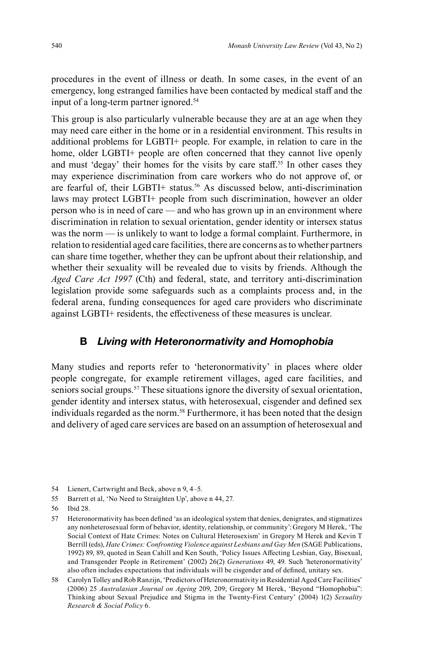procedures in the event of illness or death. In some cases, in the event of an emergency, long estranged families have been contacted by medical staff and the input of a long-term partner ignored. 54

This group is also particularly vulnerable because they are at an age when they may need care either in the home or in a residential environment. This results in additional problems for LGBTI+ people. For example, in relation to care in the home, older LGBTI+ people are often concerned that they cannot live openly and must 'degay' their homes for the visits by care staff. 55 In other cases they may experience discrimination from care workers who do not approve of, or are fearful of, their LGBTI+ status. 56 As discussed below, anti-discrimination laws may protect LGBTI+ people from such discrimination, however an older person who is in need of care — and who has grown up in an environment where discrimination in relation to sexual orientation, gender identity or intersex status was the norm — is unlikely to want to lodge a formal complaint. Furthermore, in relation to residential aged care facilities, there are concerns as to whether partners can share time together, whether they can be upfront about their relationship, and whether their sexuality will be revealed due to visits by friends. Although the *Aged Care Act 1997* (Cth) and federal, state, and territory anti-discrimination legislation provide some safeguards such as a complaints process and, in the federal arena, funding consequences for aged care providers who discriminate against LGBTI+ residents, the effectiveness of these measures is unclear.

### **B** *Living with Heteronormativity and Homophobia*

Many studies and reports refer to 'heteronormativity' in places where older people congregate, for example retirement villages, aged care facilities, and seniors social groups.<sup>57</sup> These situations ignore the diversity of sexual orientation, gender identity and intersex status, with heterosexual, cisgender and defined sex individuals regarded as the norm. 58 Furthermore, it has been noted that the design and delivery of aged care services are based on an assumption of heterosexual and

<sup>54</sup> Lienert, Cartwright and Beck, above n 9, 4–5.

<sup>55</sup> Barrett et al, 'No Need to Straighten Up', above n 44, 27.

<sup>56</sup> Ibid 28.

<sup>57</sup> Heteronormativity has been defined 'as an ideological system that denies, denigrates, and stigmatizes any nonheterosexual form of behavior, identity, relationship, or community':Gregory M Herek, 'The Social Context of Hate Crimes: Notes on Cultural Heterosexism' in Gregory M Herek and Kevin T Berrill (eds), *Hate Crimes: Confronting Violence against Lesbians and Gay Men* (SAGE Publications, 1992) 89, 89, quoted in Sean Cahill and Ken South, 'Policy Issues Affecting Lesbian, Gay, Bisexual, and Transgender People in Retirement' (2002) 26(2) *Generations* 49, 49. Such 'heteronormativity' also often includes expectations that individuals will be cisgender and of defined, unitary sex.

<sup>58</sup> Carolyn Tolley and Rob Ranzijn, 'Predictors of Heteronormativity in Residential Aged Care Facilities' (2006) 25 *Australasian Journal on Ageing* 209, 209; Gregory M Herek, 'Beyond "Homophobia": Thinking about Sexual Prejudice and Stigma in the Twenty-First Century' (2004) 1(2) *Sexuality Research & Social Policy* 6.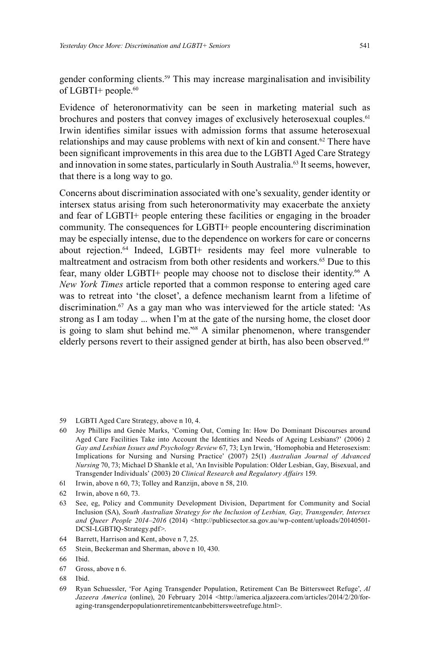gender conforming clients. 59 This may increase marginalisation and invisibility of LGBTI+ people. 60

Evidence of heteronormativity can be seen in marketing material such as brochures and posters that convey images of exclusively heterosexual couples. 61 Irwin identifies similar issues with admission forms that assume heterosexual relationships and may cause problems with next of kin and consent. 62 There have been significant improvements in this area due to the LGBTI Aged Care Strategy and innovation in some states, particularly in South Australia. 63 It seems, however, that there is a long way to go.

Concerns about discrimination associated with one's sexuality, gender identity or intersex status arising from such heteronormativity may exacerbate the anxiety and fear of LGBTI+ people entering these facilities or engaging in the broader community. The consequences for LGBTI+ people encountering discrimination may be especially intense, due to the dependence on workers for care or concerns about rejection. 64 Indeed, LGBTI+ residents may feel more vulnerable to maltreatment and ostracism from both other residents and workers.<sup>65</sup> Due to this fear, many older LGBTI+ people may choose not to disclose their identity. <sup>66</sup> A *New York Times* article reported that a common response to entering aged care was to retreat into 'the closet', a defence mechanism learnt from a lifetime of discrimination. 67 As a gay man who was interviewed for the article stated: 'As strong as I am today ... when I'm at the gate of the nursing home, the closet door is going to slam shut behind me.' 68 A similar phenomenon, where transgender elderly persons revert to their assigned gender at birth, has also been observed.<sup>69</sup>

- 59 LGBTI Aged Care Strategy, above n 10, 4.
- 60 Joy Phillips and Genée Marks, 'Coming Out, Coming In: How Do Dominant Discourses around Aged Care Facilities Take into Account the Identities and Needs of Ageing Lesbians?' (2006) 2 *Gay and Lesbian Issues and Psychology Review* 67, 73; Lyn Irwin, 'Homophobia and Heterosexism: Implications for Nursing and Nursing Practice' (2007) 25(1) *Australian Journal of Advanced Nursing* 70, 73; Michael D Shankle et al, 'An Invisible Population: Older Lesbian, Gay, Bisexual, and Transgender Individuals' (2003) 20 *Clinical Research and Regulatory Affairs* 159.
- 61 Irwin, above n 60, 73; Tolley and Ranzijn, above n 58, 210.
- 62 Irwin, above n 60, 73.
- 63 See, eg, Policy and Community Development Division, Department for Community and Social Inclusion (SA), *South Australian Strategy for the Inclusion of Lesbian, Gay, Transgender, Intersex* and Queer People 2014-2016 (2014) <http://publicsector.sa.gov.au/wp-content/uploads/20140501-DCSI-LGBTIQ-Strategy.pdf>.
- 64 Barrett, Harrison and Kent, above n 7, 25.
- 65 Stein, Beckerman and Sherman, above n 10, 430.
- 66 Ibid.
- 67 Gross, above n 6.
- 68 Ibid.
- 69 Ryan Schuessler, 'For Aging Transgender Population, Retirement Can Be Bittersweet Refuge', *Al Jazeera America* (online), 20 February 2014 <http://america.aljazeera.com/articles/2014/2/20/foraging-transgenderpopulationretirementcanbebittersweetrefuge.html>.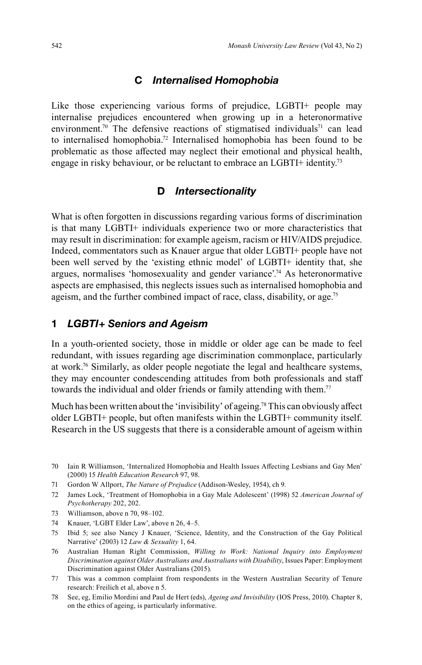### **C** *Internalised Homophobia*

Like those experiencing various forms of prejudice, LGBTI+ people may internalise prejudices encountered when growing up in a heteronormative environment.<sup>70</sup> The defensive reactions of stigmatised individuals<sup>71</sup> can lead to internalised homophobia.<sup>72</sup> Internalised homophobia has been found to be problematic as those affected may neglect their emotional and physical health, engage in risky behaviour, or be reluctant to embrace an LGBTI+ identity.<sup>73</sup>

# **D** *Intersectionality*

What is often forgotten in discussions regarding various forms of discrimination is that many LGBTI+ individuals experience two or more characteristics that may result in discrimination: for example ageism, racism or HIV/AIDS prejudice. Indeed, commentators such as Knauer argue that older LGBTI+ people have not been well served by the 'existing ethnic model' of LGBTI+ identity that, she argues, normalises 'homosexuality and gender variance'. 74 As heteronormative aspects are emphasised, this neglects issues such as internalised homophobia and ageism, and the further combined impact of race, class, disability, or age.<sup>75</sup>

### **1** *LGBTI+ Seniors and Ageism*

In a youth-oriented society, those in middle or older age can be made to feel redundant, with issues regarding age discrimination commonplace, particularly at work. 76 Similarly, as older people negotiate the legal and healthcare systems, they may encounter condescending attitudes from both professionals and staff towards the individual and older friends or family attending with them.<sup>77</sup>

Much has been written about the 'invisibility' of ageing.<sup>78</sup> This can obviously affect older LGBTI+ people, but often manifests within the LGBTI+ community itself. Research in the US suggests that there is a considerable amount of ageism within

- 73 Williamson, above n 70, 98–102.
- 74 Knauer, 'LGBT Elder Law', above n 26, 4–5.
- 75 Ibid 5; see also Nancy J Knauer, 'Science, Identity, and the Construction of the Gay Political Narrative' (2003) 12 *Law & Sexuality* 1, 64.
- 76 Australian Human Right Commission, *Willing to Work: National Inquiry into Employment Discrimination against Older Australians and Australians with Disability*, Issues Paper: Employment Discrimination against Older Australians (2015).
- 77 This was a common complaint from respondents in the Western Australian Security of Tenure research: Freilich et al, above n 5.
- 78 See, eg, Emilio Mordini and Paul de Hert (eds), *Ageing and Invisibility* (IOS Press, 2010). Chapter 8, on the ethics of ageing, is particularly informative.

<sup>70</sup> Iain R Williamson, 'Internalized Homophobia and Health Issues Affecting Lesbians and Gay Men' (2000) 15 *Health Education Research* 97, 98.

<sup>71</sup> Gordon W Allport, *The Nature of Prejudice* (Addison-Wesley, 1954), ch 9.

<sup>72</sup> James Lock, 'Treatment of Homophobia in a Gay Male Adolescent' (1998) 52 *American Journal of Psychotherapy* 202, 202.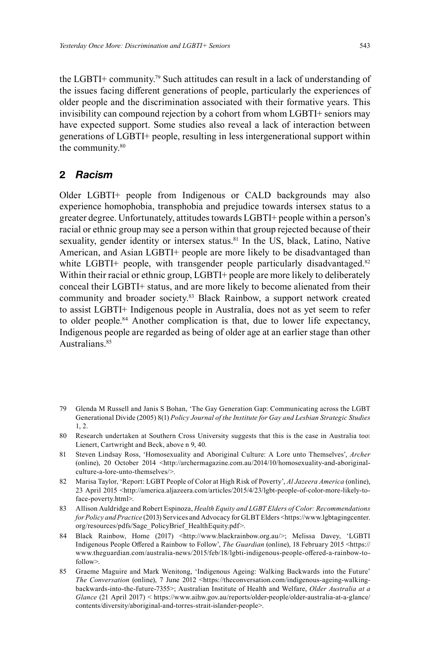the LGBTI+ community. 79 Such attitudes can result in a lack of understanding of the issues facing different generations of people, particularly the experiences of older people and the discrimination associated with their formative years. This invisibility can compound rejection by a cohort from whom LGBTI+ seniors may have expected support. Some studies also reveal a lack of interaction between generations of LGBTI+ people, resulting in less intergenerational support within the community. 80

#### **2** *Racism*

Older LGBTI+ people from Indigenous or CALD backgrounds may also experience homophobia, transphobia and prejudice towards intersex status to a greater degree. Unfortunately, attitudes towards LGBTI+ people within a person's racial or ethnic group may see a person within that group rejected because of their sexuality, gender identity or intersex status. 81 In the US, black, Latino, Native American, and Asian LGBTI+ people are more likely to be disadvantaged than white LGBTI+ people, with transgender people particularly disadvantaged.<sup>82</sup> Within their racial or ethnic group, LGBTI+ people are more likely to deliberately conceal their LGBTI+ status, and are more likely to become alienated from their community and broader society. 83 Black Rainbow, a support network created to assist LGBTI+ Indigenous people in Australia, does not as yet seem to refer to older people. 84 Another complication is that, due to lower life expectancy, Indigenous people are regarded as being of older age at an earlier stage than other Australians.<sup>85</sup>

- 79 Glenda M Russell and Janis S Bohan, 'The Gay Generation Gap: Communicating across the LGBT Generational Divide (2005) 8(1) *Policy Journal of the Institute for Gay and Lesbian Strategic Studies* 1, 2.
- 80 Research undertaken at Southern Cross University suggests that this is the case in Australia too: Lienert, Cartwright and Beck, above n 9, 40.
- 81 Steven Lindsay Ross, 'Homosexuality and Aboriginal Culture: A Lore unto Themselves', *Archer* (online), 20 October 2014 <http://archermagazine.com.au/2014/10/homosexuality-and-aboriginalculture-a-lore-unto-themselves/>.
- 82 Marisa Taylor, 'Report: LGBT People of Color at High Risk of Poverty', *Al Jazeera America* (online), 23 April 2015 <http://america.aljazeera.com/articles/2015/4/23/lgbt-people-of-color-more-likely-toface-poverty.html>.
- 83 Allison Auldridge and Robert Espinoza, *Health Equity and LGBT Elders of Color: Recommendations for Policy and Practice* (2013) Services and Advocacy for GLBT Elders <https://www.lgbtagingcenter. org/resources/pdfs/Sage\_PolicyBrief\_HealthEquity.pdf>.
- 84 Black Rainbow, Home (2017) <http://www.blackrainbow.org.au/>; Melissa Davey, 'LGBTI Indigenous People Offered a Rainbow to Follow', *The Guardian* (online), 18 February 2015 <https:// www.theguardian.com/australia-news/2015/feb/18/lgbti-indigenous-people-offered-a-rainbow-tofollow>.
- 85 Graeme Maguire and Mark Wenitong, 'Indigenous Ageing: Walking Backwards into the Future' *The Conversation* (online), 7 June 2012 <https://theconversation.com/indigenous-ageing-walkingbackwards-into-the-future-7355>; Australian Institute of Health and Welfare, *Older Australia at a Glance* (21 April 2017) < https://www.aihw.gov.au/reports/older-people/older-australia-at-a-glance/ contents/diversity/aboriginal-and-torres-strait-islander-people>.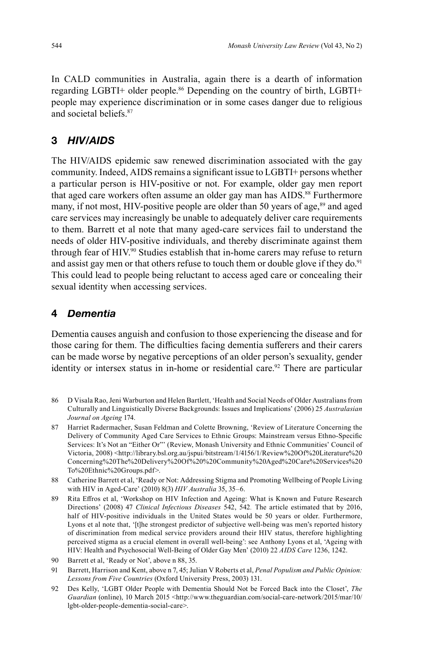In CALD communities in Australia, again there is a dearth of information regarding LGBTI+ older people. 86 Depending on the country of birth, LGBTI+ people may experience discrimination or in some cases danger due to religious and societal beliefs.87

# **3** *HIV/AIDS*

The HIV/AIDS epidemic saw renewed discrimination associated with the gay community. Indeed, AIDS remains a significant issue to LGBTI+ persons whether a particular person is HIV-positive or not. For example, older gay men report that aged care workers often assume an older gay man has AIDS. 88 Furthermore many, if not most, HIV-positive people are older than 50 years of age,<sup>89</sup> and aged care services may increasingly be unable to adequately deliver care requirements to them. Barrett et al note that many aged-care services fail to understand the needs of older HIV-positive individuals, and thereby discriminate against them through fear of HIV. 90 Studies establish that in-home carers may refuse to return and assist gay men or that others refuse to touch them or double glove if they do.<sup>91</sup> This could lead to people being reluctant to access aged care or concealing their sexual identity when accessing services.

# **4** *Dementia*

Dementia causes anguish and confusion to those experiencing the disease and for those caring for them. The difficulties facing dementia sufferers and their carers can be made worse by negative perceptions of an older person's sexuality, gender identity or intersex status in in-home or residential care. 92 There are particular

- 86 D Visala Rao, Jeni Warburton and Helen Bartlett, 'Health and Social Needs of Older Australians from Culturally and Linguistically Diverse Backgrounds: Issues and Implications' (2006) 25 *Australasian Journal on Ageing* 174.
- 87 Harriet Radermacher, Susan Feldman and Colette Browning, 'Review of Literature Concerning the Delivery of Community Aged Care Services to Ethnic Groups: Mainstream versus Ethno-Specific Services: It's Not an "Either Or"' (Review, Monash University and Ethnic Communities' Council of Victoria, 2008) <http://library.bsl.org.au/jspui/bitstream/1/4156/1/Review%20Of%20Literature%20 Concerning%20The%20Delivery%20Of%20%20Community%20Aged%20Care%20Services%20 To%20Ethnic%20Groups.pdf>.
- 88 Catherine Barrett et al, 'Ready or Not: Addressing Stigma and Promoting Wellbeing of People Living with HIV in Aged-Care' (2010) 8(3) *HIV Australia* 35, 35–6.
- 89 Rita Effros et al, 'Workshop on HIV Infection and Ageing: What is Known and Future Research Directions' (2008) 47 *Clinical Infectious Diseases* 542, 542*.* The article estimated that by 2016, half of HIV-positive individuals in the United States would be 50 years or older. Furthermore, Lyons et al note that, '[t]he strongest predictor of subjective well-being was men's reported history of discrimination from medical service providers around their HIV status, therefore highlighting perceived stigma as a crucial element in overall well-being': see Anthony Lyons et al, 'Ageing with HIV: Health and Psychosocial Well-Being of Older Gay Men' (2010) 22 *AIDS Care* 1236, 1242.
- 90 Barrett et al, 'Ready or Not', above n 88, 35.
- 91 Barrett, Harrison and Kent, above n 7, 45; Julian V Roberts et al, *Penal Populism and Public Opinion: Lessons from Five Countries* (Oxford University Press, 2003) 131.
- 92 Des Kelly, 'LGBT Older People with Dementia Should Not be Forced Back into the Closet', *The* Guardian (online), 10 March 2015 <http://www.theguardian.com/social-care-network/2015/mar/10/ lgbt-older-people-dementia-social-care>.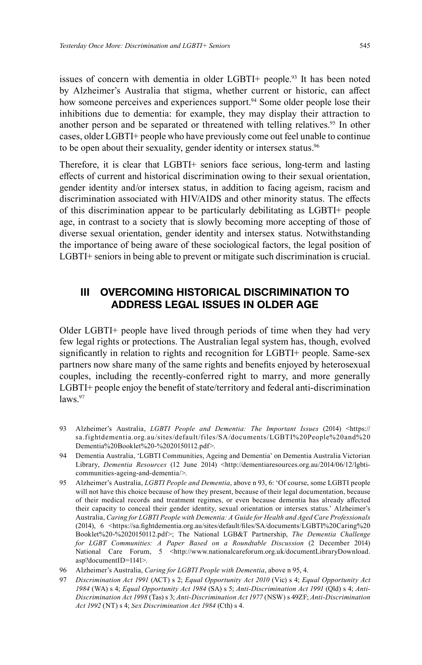issues of concern with dementia in older LGBTI+ people. 93 It has been noted by Alzheimer's Australia that stigma, whether current or historic, can affect how someone perceives and experiences support.<sup>94</sup> Some older people lose their inhibitions due to dementia: for example, they may display their attraction to another person and be separated or threatened with telling relatives. 95 In other cases, older LGBTI+ people who have previously come out feel unable to continue to be open about their sexuality, gender identity or intersex status. 96

Therefore, it is clear that LGBTI+ seniors face serious, long-term and lasting effects of current and historical discrimination owing to their sexual orientation, gender identity and/or intersex status, in addition to facing ageism, racism and discrimination associated with HIV/AIDS and other minority status. The effects of this discrimination appear to be particularly debilitating as LGBTI+ people age, in contrast to a society that is slowly becoming more accepting of those of diverse sexual orientation, gender identity and intersex status. Notwithstanding the importance of being aware of these sociological factors, the legal position of LGBTI+ seniors in being able to prevent or mitigate such discrimination is crucial.

# **III OVERCOMING HISTORICAL DISCRIMINATION TO ADDRESS LEGAL ISSUES IN OLDER AGE**

Older LGBTI+ people have lived through periods of time when they had very few legal rights or protections. The Australian legal system has, though, evolved significantly in relation to rights and recognition for LGBTI+ people. Same-sex partners now share many of the same rights and benefits enjoyed by heterosexual couples, including the recently-conferred right to marry, and more generally LGBTI+ people enjoy the benefit of state/territory and federal anti-discrimination  $law<sup>97</sup>$ 

- 93 Alzheimer's Australia, *LGBTI People and Dementia: The Important Issues* (2014) <https:// sa.fightdementia.org.au/sites/default/files/SA/documents/LGBTI%20People%20and%20 Dementia%20Booklet%20-%2020150112.pdf>.
- 94 Dementia Australia, 'LGBTI Communities, Ageing and Dementia' on Dementia Australia Victorian Library, *Dementia Resources* (12 June 2014) <http://dementiaresources.org.au/2014/06/12/lgbticommunities-ageing-and-dementia/>.
- 95 Alzheimer's Australia, *LGBTI People and Dementia*, above n 93, 6: 'Of course, some LGBTI people will not have this choice because of how they present, because of their legal documentation, because of their medical records and treatment regimes, or even because dementia has already affected their capacity to conceal their gender identity, sexual orientation or intersex status.' Alzheimer's Australia, *Caring for LGBTI People with Dementia: A Guide for Health and Aged Care Professionals* (2014), 6 <https://sa.fightdementia.org.au/sites/default/files/SA/documents/LGBTI%20Caring%20 Booklet%20-%2020150112.pdf>; The National LGB&T Partnership, *The Dementia Challenge for LGBT Communities: A Paper Based on a Roundtable Discussion* (2 December 2014) National Care Forum, 5 <http://www.nationalcareforum.org.uk/documentLibraryDownload. asp?documentID=1141>.
- 96 Alzheimer's Australia, *Caring for LGBTI People with Dementia*, above n 95, 4.
- 97 *Discrimination Act 1991* (ACT) s 2; *Equal Opportunity Act 2010* (Vic) s 4; *Equal Opportunity Act 1984* (WA) s 4; *Equal Opportunity Act 1984* (SA) s 5; *Anti-Discrimination Act 1991* (Qld) s 4; *Anti-Discrimination Act 1998* (Tas) s 3; *Anti-Discrimination Act 1977* (NSW) s 49ZF; *Anti-Discrimination Act 1992* (NT) s 4; *Sex Discrimination Act 1984* (Cth) s 4.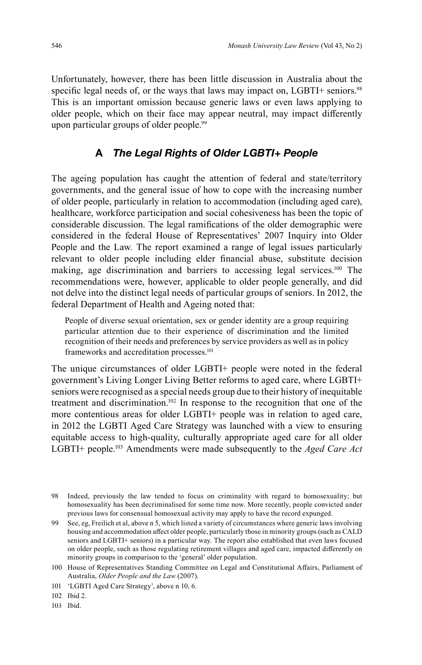Unfortunately, however, there has been little discussion in Australia about the specific legal needs of, or the ways that laws may impact on, LGBTI+ seniors.<sup>98</sup> This is an important omission because generic laws or even laws applying to older people, which on their face may appear neutral, may impact differently upon particular groups of older people. 99

### **A** *The Legal Rights of Older LGBTI+ People*

The ageing population has caught the attention of federal and state/territory governments, and the general issue of how to cope with the increasing number of older people, particularly in relation to accommodation (including aged care), healthcare, workforce participation and social cohesiveness has been the topic of considerable discussion. The legal ramifications of the older demographic were considered in the federal House of Representatives' 2007 Inquiry into Older People and the Law*.* The report examined a range of legal issues particularly relevant to older people including elder financial abuse, substitute decision making, age discrimination and barriers to accessing legal services. 100 The recommendations were, however, applicable to older people generally, and did not delve into the distinct legal needs of particular groups of seniors. In 2012, the federal Department of Health and Ageing noted that:

People of diverse sexual orientation, sex or gender identity are a group requiring particular attention due to their experience of discrimination and the limited recognition of their needs and preferences by service providers as well as in policy frameworks and accreditation processes. 101

The unique circumstances of older LGBTI+ people were noted in the federal government's Living Longer Living Better reforms to aged care, where LGBTI+ seniors were recognised as a special needs group due to their history of inequitable treatment and discrimination. 102 In response to the recognition that one of the more contentious areas for older LGBTI+ people was in relation to aged care, in 2012 the LGBTI Aged Care Strategy was launched with a view to ensuring equitable access to high-quality, culturally appropriate aged care for all older LGBTI+ people. 103 Amendments were made subsequently to the *Aged Care Act*

103 Ibid.

<sup>98</sup> Indeed, previously the law tended to focus on criminality with regard to homosexuality; but homosexuality has been decriminalised for some time now. More recently, people convicted under previous laws for consensual homosexual activity may apply to have the record expunged.

<sup>99</sup> See, eg, Freilich et al, above n 5, which listed a variety of circumstances where generic laws involving housing and accommodation affect older people, particularly those in minority groups (such as CALD seniors and LGBTI+ seniors) in a particular way. The report also established that even laws focused on older people, such as those regulating retirement villages and aged care, impacted differently on minority groups in comparison to the 'general' older population.

<sup>100</sup> House of Representatives Standing Committee on Legal and Constitutional Affairs, Parliament of Australia, *Older People and the Law* (2007).

<sup>101 &#</sup>x27;LGBTI Aged Care Strategy', above n 10, 6.

<sup>102</sup> Ibid 2.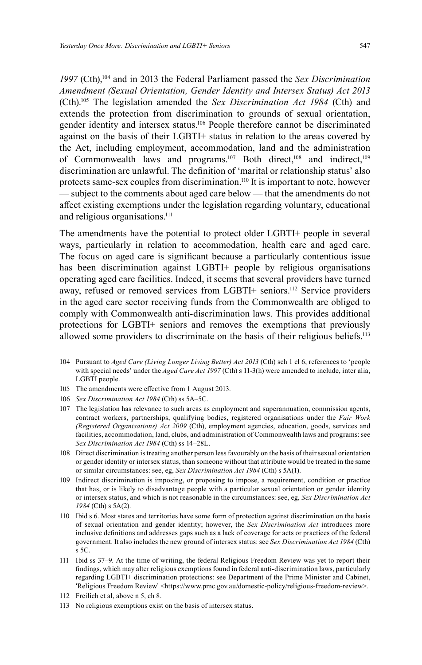*1997* (Cth),104 and in 2013 the Federal Parliament passed the *Sex Discrimination Amendment (Sexual Orientation, Gender Identity and Intersex Status) Act 2013* (Cth).105 The legislation amended the *Sex Discrimination Act 1984* (Cth) and extends the protection from discrimination to grounds of sexual orientation, gender identity and intersex status. 106 People therefore cannot be discriminated against on the basis of their LGBTI+ status in relation to the areas covered by the Act, including employment, accommodation, land and the administration of Commonwealth laws and programs.<sup>107</sup> Both direct,<sup>108</sup> and indirect,<sup>109</sup> discrimination are unlawful. The definition of 'marital or relationship status' also protects same-sex couples from discrimination.<sup>110</sup> It is important to note, however — subject to the comments about aged care below — that the amendments do not affect existing exemptions under the legislation regarding voluntary, educational and religious organisations. 111

The amendments have the potential to protect older LGBTI+ people in several ways, particularly in relation to accommodation, health care and aged care. The focus on aged care is significant because a particularly contentious issue has been discrimination against LGBTI+ people by religious organisations operating aged care facilities. Indeed, it seems that several providers have turned away, refused or removed services from LGBTI+ seniors. 112 Service providers in the aged care sector receiving funds from the Commonwealth are obliged to comply with Commonwealth anti-discrimination laws. This provides additional protections for LGBTI+ seniors and removes the exemptions that previously allowed some providers to discriminate on the basis of their religious beliefs.<sup>113</sup>

- 104 Pursuant to *Aged Care (Living Longer Living Better) Act 2013* (Cth) sch 1 cl 6, references to 'people with special needs' under the *Aged Care Act 1997* (Cth) s 11-3(h) were amended to include, inter alia, LGBTI people.
- 105 The amendments were effective from 1 August 2013.
- 106 *Sex Discrimination Act 1984* (Cth) ss 5A–5C.
- 107 The legislation has relevance to such areas as employment and superannuation, commission agents, contract workers, partnerships, qualifying bodies, registered organisations under the *Fair Work (Registered Organisations) Act 2009* (Cth), employment agencies, education, goods, services and facilities, accommodation, land, clubs, and administration of Commonwealth laws and programs: see *Sex Discrimination Act 1984* (Cth) ss 14–28L.
- 108 Direct discrimination is treating another person less favourably on the basis of their sexual orientation or gender identity or intersex status, than someone without that attribute would be treated in the same or similar circumstances: see, eg, *Sex Discrimination Act 1984* (Cth) s 5A(1).
- 109 Indirect discrimination is imposing, or proposing to impose, a requirement, condition or practice that has, or is likely to disadvantage people with a particular sexual orientation or gender identity or intersex status, and which is not reasonable in the circumstances: see, eg, *Sex Discrimination Act 1984* (Cth) s 5A(2).
- 110 Ibid s 6. Most states and territories have some form of protection against discrimination on the basis of sexual orientation and gender identity; however, the *Sex Discrimination Act* introduces more inclusive definitions and addresses gaps such as a lack of coverage for acts or practices of the federal government. It also includes the new ground of intersex status: see *Sex Discrimination Act 1984* (Cth) s 5C.
- 111 Ibid ss 37–9. At the time of writing, the federal Religious Freedom Review was yet to report their findings, which may alter religious exemptions found in federal anti-discrimination laws, particularly regarding LGBTI+ discrimination protections: see Department of the Prime Minister and Cabinet, 'Religious Freedom Review' <https://www.pmc.gov.au/domestic-policy/religious-freedom-review>.
- 112 Freilich et al, above n 5, ch 8.
- 113 No religious exemptions exist on the basis of intersex status.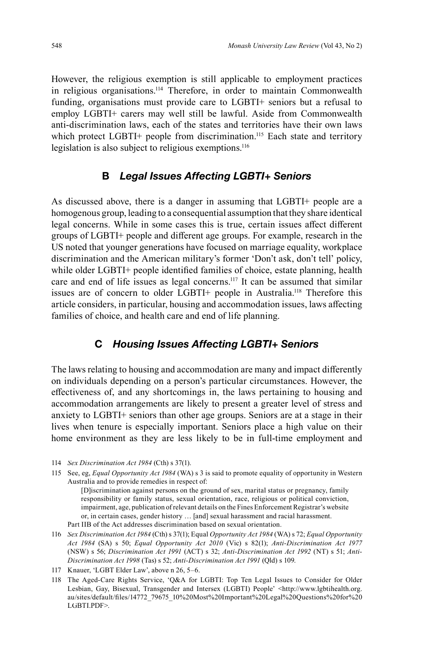However, the religious exemption is still applicable to employment practices in religious organisations. 114 Therefore, in order to maintain Commonwealth funding, organisations must provide care to LGBTI+ seniors but a refusal to employ LGBTI+ carers may well still be lawful. Aside from Commonwealth anti-discrimination laws, each of the states and territories have their own laws which protect LGBTI+ people from discrimination. 115 Each state and territory legislation is also subject to religious exemptions.<sup>116</sup>

### **B** *Legal Issues Affecting LGBTI+ Seniors*

As discussed above, there is a danger in assuming that LGBTI+ people are a homogenous group, leading to a consequential assumption that they share identical legal concerns. While in some cases this is true, certain issues affect different groups of LGBTI+ people and different age groups. For example, research in the US noted that younger generations have focused on marriage equality, workplace discrimination and the American military's former 'Don't ask, don't tell' policy, while older LGBTI+ people identified families of choice, estate planning, health care and end of life issues as legal concerns. 117 It can be assumed that similar issues are of concern to older LGBTI+ people in Australia.<sup>118</sup> Therefore this article considers, in particular, housing and accommodation issues, laws affecting families of choice, and health care and end of life planning.

#### **C** *Housing Issues Affecting LGBTI+ Seniors*

The laws relating to housing and accommodation are many and impact differently on individuals depending on a person's particular circumstances. However, the effectiveness of, and any shortcomings in, the laws pertaining to housing and accommodation arrangements are likely to present a greater level of stress and anxiety to LGBTI+ seniors than other age groups. Seniors are at a stage in their lives when tenure is especially important. Seniors place a high value on their home environment as they are less likely to be in full-time employment and

<sup>114</sup> *Sex Discrimination Act 1984* (Cth) s 37(1).

<sup>115</sup> See, eg, *Equal Opportunity Act 1984* (WA) s 3 is said to promote equality of opportunity in Western Australia and to provide remedies in respect of:

 <sup>[</sup>D]iscrimination against persons on the ground of sex, marital status or pregnancy, family responsibility or family status, sexual orientation, race, religious or political conviction, impairment, age, publication of relevant details on the Fines Enforcement Registrar's website or, in certain cases, gender history … [and] sexual harassment and racial harassment. Part IIB of the Act addresses discrimination based on sexual orientation.

<sup>116</sup> *Sex Discrimination Act 1984* (Cth) s 37(1); Equal *Opportunity Act 1984* (WA) s 72; *Equal Opportunity Act 1984* (SA) s 50; *Equal Opportunity Act 2010* (Vic) s 82(1); *Anti-Discrimination Act 1977* (NSW) s 56; *Discrimination Act 1991* (ACT) s 32; *Anti-Discrimination Act 1992* (NT) s 51; *Anti-Discrimination Act 1998* (Tas) s 52; *Anti-Discrimination Act 1991* (Qld) s 109.

<sup>117</sup> Knauer, 'LGBT Elder Law', above n 26, 5–6.

<sup>118</sup> The Aged-Care Rights Service, 'Q&A for LGBTI: Top Ten Legal Issues to Consider for Older Lesbian, Gay, Bisexual, Transgender and Intersex (LGBTI) People' <http://www.lgbtihealth.org. au/sites/default/files/14772\_79675\_10%20Most%20Important%20Legal%20Questions%20for%20 LGBTI.PDF>.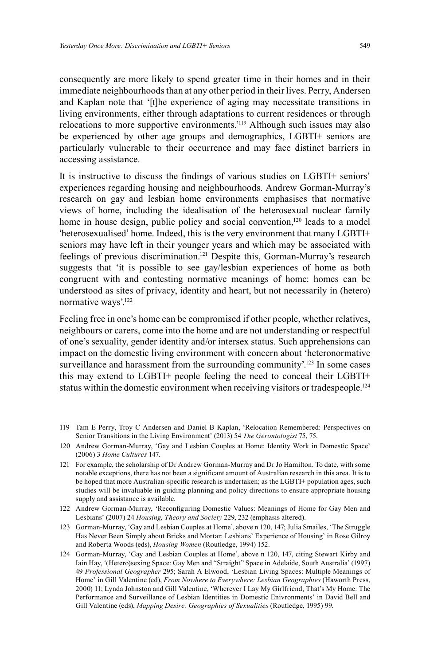consequently are more likely to spend greater time in their homes and in their immediate neighbourhoods than at any other period in their lives. Perry, Andersen and Kaplan note that '[t]he experience of aging may necessitate transitions in living environments, either through adaptations to current residences or through relocations to more supportive environments.<sup>'119</sup> Although such issues may also be experienced by other age groups and demographics, LGBTI+ seniors are particularly vulnerable to their occurrence and may face distinct barriers in accessing assistance.

It is instructive to discuss the findings of various studies on LGBTI+ seniors' experiences regarding housing and neighbourhoods. Andrew Gorman-Murray's research on gay and lesbian home environments emphasises that normative views of home, including the idealisation of the heterosexual nuclear family home in house design, public policy and social convention,<sup>120</sup> leads to a model 'heterosexualised' home. Indeed, this is the very environment that many LGBTI+ seniors may have left in their younger years and which may be associated with feelings of previous discrimination. 121 Despite this, Gorman-Murray's research suggests that 'it is possible to see gay/lesbian experiences of home as both congruent with and contesting normative meanings of home: homes can be understood as sites of privacy, identity and heart, but not necessarily in (hetero) normative ways'.<sup>122</sup>

Feeling free in one's home can be compromised if other people, whether relatives, neighbours or carers, come into the home and are not understanding or respectful of one's sexuality, gender identity and/or intersex status. Such apprehensions can impact on the domestic living environment with concern about 'heteronormative surveillance and harassment from the surrounding community'.<sup>123</sup> In some cases this may extend to LGBTI+ people feeling the need to conceal their LGBTI+ status within the domestic environment when receiving visitors or tradespeople.<sup>124</sup>

- 119 Tam E Perry, Troy C Andersen and Daniel B Kaplan, 'Relocation Remembered: Perspectives on Senior Transitions in the Living Environment' (2013) 54 *The Gerontologist* 75, 75.
- 120 Andrew Gorman-Murray, 'Gay and Lesbian Couples at Home: Identity Work in Domestic Space' (2006) 3 *Home Cultures* 147.
- 121 For example, the scholarship of Dr Andrew Gorman-Murray and Dr Jo Hamilton. To date, with some notable exceptions, there has not been a significant amount of Australian research in this area. It is to be hoped that more Australian-specific research is undertaken; as the LGBTI+ population ages, such studies will be invaluable in guiding planning and policy directions to ensure appropriate housing supply and assistance is available.
- 122 Andrew Gorman-Murray, 'Reconfiguring Domestic Values: Meanings of Home for Gay Men and Lesbians' (2007) 24 *Housing, Theory and Society* 229, 232 (emphasis altered).
- 123 Gorman-Murray, 'Gay and Lesbian Couples at Home', above n 120, 147; Julia Smailes, 'The Struggle Has Never Been Simply about Bricks and Mortar: Lesbians' Experience of Housing' in Rose Gilroy and Roberta Woods (eds), *Housing Women* (Routledge, 1994) 152.
- 124 Gorman-Murray, 'Gay and Lesbian Couples at Home', above n 120, 147, citing Stewart Kirby and Iain Hay, '(Hetero)sexing Space: Gay Men and "Straight" Space in Adelaide, South Australia' (1997) 49 *Professional Geographer* 295; Sarah A Elwood, 'Lesbian Living Spaces: Multiple Meanings of Home' in Gill Valentine (ed), *From Nowhere to Everywhere: Lesbian Geographies* (Haworth Press, 2000) 11; Lynda Johnston and Gill Valentine, 'Wherever I Lay My Girlfriend, That's My Home: The Performance and Surveillance of Lesbian Identities in Domestic Enivronments' in David Bell and Gill Valentine (eds), *Mapping Desire: Geographies of Sexualities* (Routledge, 1995) 99.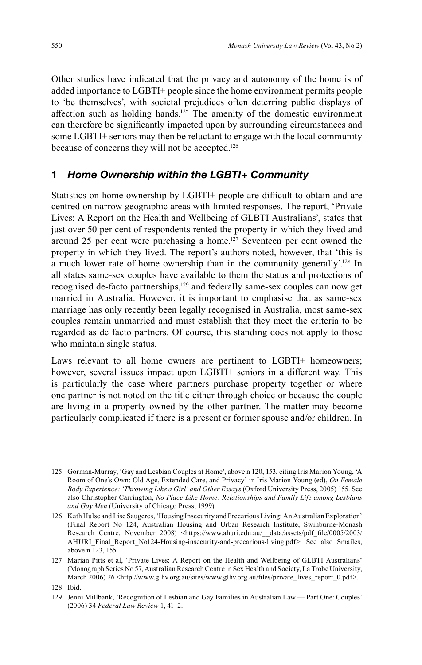Other studies have indicated that the privacy and autonomy of the home is of added importance to LGBTI+ people since the home environment permits people to 'be themselves', with societal prejudices often deterring public displays of affection such as holding hands.<sup>125</sup> The amenity of the domestic environment can therefore be significantly impacted upon by surrounding circumstances and some LGBTI+ seniors may then be reluctant to engage with the local community because of concerns they will not be accepted. 126

# **1** *Home Ownership within the LGBTI+ Community*

Statistics on home ownership by LGBTI+ people are difficult to obtain and are centred on narrow geographic areas with limited responses. The report, 'Private Lives: A Report on the Health and Wellbeing of GLBTI Australians', states that just over 50 per cent of respondents rented the property in which they lived and around 25 per cent were purchasing a home. 127 Seventeen per cent owned the property in which they lived. The report's authors noted, however, that 'this is a much lower rate of home ownership than in the community generally'.<sup>128</sup> In all states same-sex couples have available to them the status and protections of recognised de-facto partnerships,<sup>129</sup> and federally same-sex couples can now get married in Australia. However, it is important to emphasise that as same-sex marriage has only recently been legally recognised in Australia, most same-sex couples remain unmarried and must establish that they meet the criteria to be regarded as de facto partners. Of course, this standing does not apply to those who maintain single status.

Laws relevant to all home owners are pertinent to LGBTI+ homeowners; however, several issues impact upon LGBTI+ seniors in a different way. This is particularly the case where partners purchase property together or where one partner is not noted on the title either through choice or because the couple are living in a property owned by the other partner. The matter may become particularly complicated if there is a present or former spouse and/or children. In

<sup>125</sup> Gorman-Murray, 'Gay and Lesbian Couples at Home', above n 120, 153, citing Iris Marion Young, 'A Room of One's Own: Old Age, Extended Care, and Privacy' in Iris Marion Young (ed), *On Female Body Experience: 'Throwing Like a Girl' and Other Essays* (Oxford University Press, 2005) 155. See also Christopher Carrington, *No Place Like Home: Relationships and Family Life among Lesbians and Gay Men* (University of Chicago Press, 1999).

<sup>126</sup> Kath Hulse and Lise Saugeres, 'Housing Insecurity and Precarious Living: An Australian Exploration' (Final Report No 124, Australian Housing and Urban Research Institute, Swinburne-Monash Research Centre, November 2008) <https://www.ahuri.edu.au/\_\_data/assets/pdf\_file/0005/2003/ AHURI\_Final\_Report\_No124-Housing-insecurity-and-precarious-living.pdf>. See also Smailes, above n  $\overline{1}23$ , 155.

<sup>127</sup> Marian Pitts et al, 'Private Lives: A Report on the Health and Wellbeing of GLBTI Australians' (Monograph Series No 57, Australian Research Centre in Sex Health and Society, La Trobe University, March 2006) 26 <http://www.glhv.org.au/sites/www.glhv.org.au/files/private\_lives\_report\_0.pdf>.

<sup>128</sup> Ibid.

<sup>129</sup> Jenni Millbank, 'Recognition of Lesbian and Gay Families in Australian Law — Part One: Couples' (2006) 34 *Federal Law Review* 1, 41–2.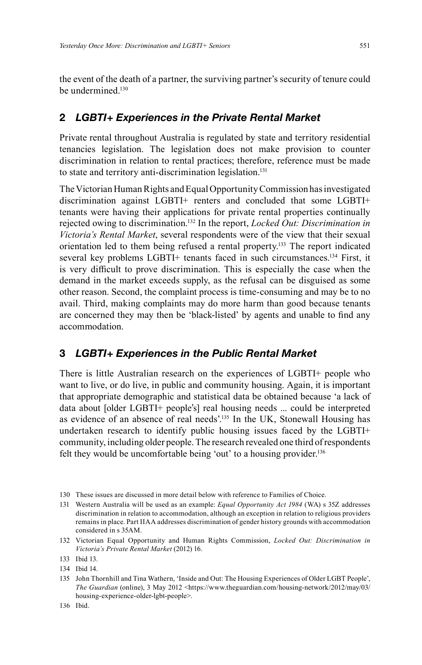the event of the death of a partner, the surviving partner's security of tenure could be undermined.<sup>130</sup>

### **2** *LGBTI+ Experiences in the Private Rental Market*

Private rental throughout Australia is regulated by state and territory residential tenancies legislation. The legislation does not make provision to counter discrimination in relation to rental practices; therefore, reference must be made to state and territory anti-discrimination legislation. 131

The Victorian Human Rights and Equal Opportunity Commission has investigated discrimination against LGBTI+ renters and concluded that some LGBTI+ tenants were having their applications for private rental properties continually rejected owing to discrimination. 132 In the report, *Locked Out: Discrimination in Victoria's Rental Market*, several respondents were of the view that their sexual orientation led to them being refused a rental property. 133 The report indicated several key problems LGBTI+ tenants faced in such circumstances. 134 First, it is very difficult to prove discrimination. This is especially the case when the demand in the market exceeds supply, as the refusal can be disguised as some other reason. Second, the complaint process is time-consuming and may be to no avail. Third, making complaints may do more harm than good because tenants are concerned they may then be 'black-listed' by agents and unable to find any accommodation.

#### **3** *LGBTI+ Experiences in the Public Rental Market*

There is little Australian research on the experiences of LGBTI+ people who want to live, or do live, in public and community housing. Again, it is important that appropriate demographic and statistical data be obtained because 'a lack of data about [older LGBTI+ people's] real housing needs ... could be interpreted as evidence of an absence of real needs'.<sup>135</sup> In the UK, Stonewall Housing has undertaken research to identify public housing issues faced by the LGBTI+ community, including older people. The research revealed one third of respondents felt they would be uncomfortable being 'out' to a housing provider.<sup>136</sup>

<sup>130</sup> These issues are discussed in more detail below with reference to Families of Choice.

<sup>131</sup> Western Australia will be used as an example: *Equal Opportunity Act 1984* (WA) s 35Z addresses discrimination in relation to accommodation, although an exception in relation to religious providers remains in place. Part IIAA addresses discrimination of gender history grounds with accommodation considered in s 35AM.

<sup>132</sup> Victorian Equal Opportunity and Human Rights Commission, *Locked Out: Discrimination in Victoria's Private Rental Market* (2012) 16.

<sup>133</sup> Ibid 13.

<sup>134</sup> Ibid 14.

<sup>135</sup> John Thornhill and Tina Wathern, 'Inside and Out: The Housing Experiences of Older LGBT People', *The Guardian* (online), 3 May 2012 <https://www.theguardian.com/housing-network/2012/may/03/ housing-experience-older-lgbt-people>.

<sup>136</sup> Ibid.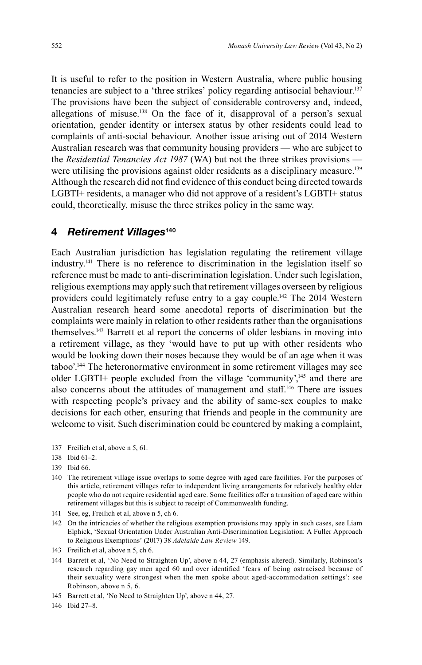It is useful to refer to the position in Western Australia, where public housing tenancies are subject to a 'three strikes' policy regarding antisocial behaviour. 137 The provisions have been the subject of considerable controversy and, indeed, allegations of misuse. 138 On the face of it, disapproval of a person's sexual orientation, gender identity or intersex status by other residents could lead to complaints of anti-social behaviour. Another issue arising out of 2014 Western Australian research was that community housing providers — who are subject to the *Residential Tenancies Act 1987* (WA) but not the three strikes provisions were utilising the provisions against older residents as a disciplinary measure.<sup>139</sup> Although the research did not find evidence of this conduct being directed towards LGBTI+ residents, a manager who did not approve of a resident's LGBTI+ status could, theoretically, misuse the three strikes policy in the same way.

#### **4** *Retirement Villages***<sup>140</sup>**

Each Australian jurisdiction has legislation regulating the retirement village industry. <sup>141</sup> There is no reference to discrimination in the legislation itself so reference must be made to anti-discrimination legislation. Under such legislation, religious exemptions may apply such that retirement villages overseen by religious providers could legitimately refuse entry to a gay couple.<sup>142</sup> The 2014 Western Australian research heard some anecdotal reports of discrimination but the complaints were mainly in relation to other residents rather than the organisations themselves.143 Barrett et al report the concerns of older lesbians in moving into a retirement village, as they 'would have to put up with other residents who would be looking down their noses because they would be of an age when it was taboo'. 144 The heteronormative environment in some retirement villages may see older LGBTI+ people excluded from the village 'community',<sup>145</sup> and there are also concerns about the attitudes of management and staff.<sup>146</sup> There are issues with respecting people's privacy and the ability of same-sex couples to make decisions for each other, ensuring that friends and people in the community are welcome to visit. Such discrimination could be countered by making a complaint,

- 137 Freilich et al, above n 5, 61.
- 138 Ibid 61–2.
- 139 Ibid 66.
- 140 The retirement village issue overlaps to some degree with aged care facilities. For the purposes of this article, retirement villages refer to independent living arrangements for relatively healthy older people who do not require residential aged care. Some facilities offer a transition of aged care within retirement villages but this is subject to receipt of Commonwealth funding.
- 141 See, eg, Freilich et al, above n 5, ch 6.
- 142 On the intricacies of whether the religious exemption provisions may apply in such cases, see Liam Elphick, 'Sexual Orientation Under Australian Anti-Discrimination Legislation: A Fuller Approach to Religious Exemptions' (2017) 38 *Adelaide Law Review* 149.
- 143 Freilich et al, above n 5, ch 6.
- 144 Barrett et al, 'No Need to Straighten Up', above n 44, 27 (emphasis altered). Similarly, Robinson's research regarding gay men aged 60 and over identified 'fears of being ostracised because of their sexuality were strongest when the men spoke about aged-accommodation settings': see Robinson, above n 5, 6.
- 145 Barrett et al, 'No Need to Straighten Up', above n 44, 27.
- 146 Ibid 27–8.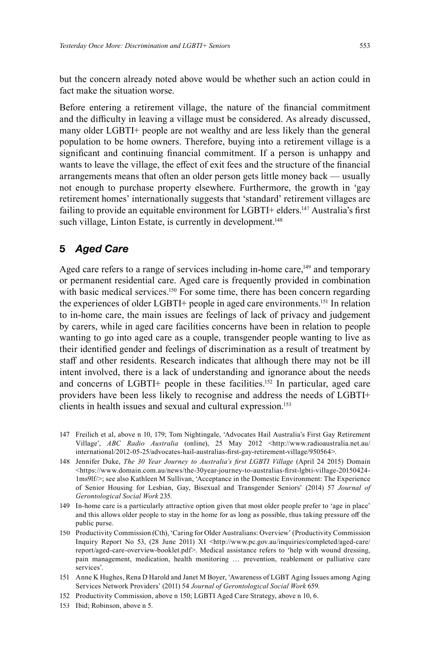but the concern already noted above would be whether such an action could in fact make the situation worse.

Before entering a retirement village, the nature of the financial commitment and the difficulty in leaving a village must be considered. As already discussed, many older LGBTI+ people are not wealthy and are less likely than the general population to be home owners. Therefore, buying into a retirement village is a significant and continuing financial commitment. If a person is unhappy and wants to leave the village, the effect of exit fees and the structure of the financial arrangements means that often an older person gets little money back — usually not enough to purchase property elsewhere. Furthermore, the growth in 'gay retirement homes' internationally suggests that 'standard' retirement villages are failing to provide an equitable environment for LGBTI+ elders.<sup>147</sup> Australia's first such village, Linton Estate, is currently in development. 148

# **5** *Aged Care*

Aged care refers to a range of services including in-home care,<sup>149</sup> and temporary or permanent residential care. Aged care is frequently provided in combination with basic medical services.<sup>150</sup> For some time, there has been concern regarding the experiences of older LGBTI+ people in aged care environments. 151 In relation to in-home care, the main issues are feelings of lack of privacy and judgement by carers, while in aged care facilities concerns have been in relation to people wanting to go into aged care as a couple, transgender people wanting to live as their identified gender and feelings of discrimination as a result of treatment by staff and other residents. Research indicates that although there may not be ill intent involved, there is a lack of understanding and ignorance about the needs and concerns of LGBTI+ people in these facilities. 152 In particular, aged care providers have been less likely to recognise and address the needs of LGBTI+ clients in health issues and sexual and cultural expression. 153

- 147 Freilich et al, above n 10, 179; Tom Nightingale, 'Advocates Hail Australia's First Gay Retirement Village', *ABC Radio Australia* (online), 25 May 2012 <http://www.radioaustralia.net.au/ international/2012-05-25/advocates-hail-australias-first-gay-retirement-village/950564>.
- 148 Jennifer Duke, *The 30 Year Journey to Australia's first LGBTI Village* (April 24 2015) Domain  $\lt$ https://www.domain.com.au/news/the-30year-journey-to-australias-first-lgbti-village-20150424-1ms9lf/>; see also Kathleen M Sullivan, 'Acceptance in the Domestic Environment: The Experience of Senior Housing for Lesbian, Gay, Bisexual and Transgender Seniors' (2014) 57 *Journal of Gerontological Social Work* 235.
- 149 In-home care is a particularly attractive option given that most older people prefer to 'age in place' and this allows older people to stay in the home for as long as possible, thus taking pressure off the public purse.
- 150 Productivity Commission (Cth), 'Caring for Older Australians: Overview' (Productivity Commission Inquiry Report No 53, (28 June 2011) XI <http://www.pc.gov.au/inquiries/completed/aged-care/ report/aged-care-overview-booklet.pdf>. Medical assistance refers to 'help with wound dressing, pain management, medication, health monitoring … prevention, reablement or palliative care services'.
- 151 Anne K Hughes, Rena D Harold and Janet M Boyer, 'Awareness of LGBT Aging Issues among Aging Services Network Providers' (2011) 54 *Journal of Gerontological Social Work* 659.
- 152 Productivity Commission, above n 150; LGBTI Aged Care Strategy, above n 10, 6.
- 153 Ibid; Robinson, above n 5.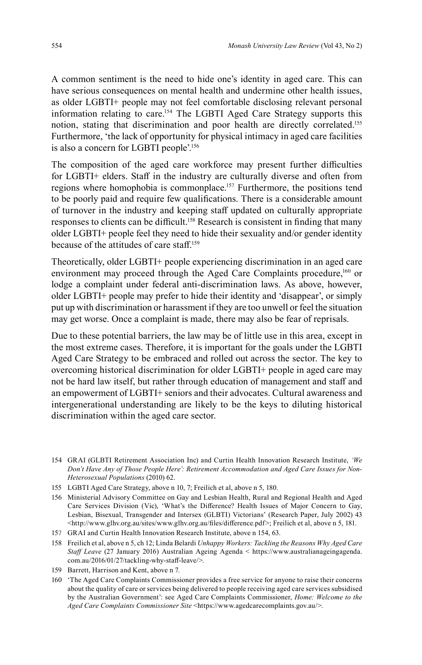A common sentiment is the need to hide one's identity in aged care. This can have serious consequences on mental health and undermine other health issues, as older LGBTI+ people may not feel comfortable disclosing relevant personal information relating to care. 154 The LGBTI Aged Care Strategy supports this notion, stating that discrimination and poor health are directly correlated. 155 Furthermore, 'the lack of opportunity for physical intimacy in aged care facilities is also a concern for LGBTI people'. 156

The composition of the aged care workforce may present further difficulties for LGBTI+ elders. Staff in the industry are culturally diverse and often from regions where homophobia is commonplace. 157 Furthermore, the positions tend to be poorly paid and require few qualifications. There is a considerable amount of turnover in the industry and keeping staff updated on culturally appropriate responses to clients can be difficult.<sup>158</sup> Research is consistent in finding that many older LGBTI+ people feel they need to hide their sexuality and/or gender identity because of the attitudes of care staff. 159

Theoretically, older LGBTI+ people experiencing discrimination in an aged care environment may proceed through the Aged Care Complaints procedure,<sup>160</sup> or lodge a complaint under federal anti-discrimination laws. As above, however, older LGBTI+ people may prefer to hide their identity and 'disappear', or simply put up with discrimination or harassment if they are too unwell or feel the situation may get worse. Once a complaint is made, there may also be fear of reprisals.

Due to these potential barriers, the law may be of little use in this area, except in the most extreme cases. Therefore, it is important for the goals under the LGBTI Aged Care Strategy to be embraced and rolled out across the sector. The key to overcoming historical discrimination for older LGBTI+ people in aged care may not be hard law itself, but rather through education of management and staff and an empowerment of LGBTI+ seniors and their advocates. Cultural awareness and intergenerational understanding are likely to be the keys to diluting historical discrimination within the aged care sector.

- 155 LGBTI Aged Care Strategy, above n 10, 7; Freilich et al, above n 5, 180.
- 156 Ministerial Advisory Committee on Gay and Lesbian Health, Rural and Regional Health and Aged Care Services Division (Vic), 'What's the Difference? Health Issues of Major Concern to Gay, Lesbian, Bisexual, Transgender and Intersex (GLBTI) Victorians' (Research Paper, July 2002) 43 <http://www.glhv.org.au/sites/www.glhv.org.au/fi les/diff erence.pdf>; Freilich et al, above n 5, 181.
- 157 GRAI and Curtin Health Innovation Research Institute, above n 154, 63.
- 158 Freilich et al, above n 5, ch 12; Linda Belardi *Unhappy Workers: Tackling the Reasons Why Aged Care Staff Leave* (27 January 2016) Australian Ageing Agenda < https://www.australianageingagenda. com.au/2016/01/27/tackling-why-staff -leave/>.
- 159 Barrett, Harrison and Kent, above n 7.
- 160 'The Aged Care Complaints Commissioner provides a free service for anyone to raise their concerns about the quality of care or services being delivered to people receiving aged care services subsidised by the Australian Government': see Aged Care Complaints Commissioner, *Home: Welcome to the Aged Care Complaints Commissioner Site* <https://www.agedcarecomplaints.gov.au/>.

<sup>154</sup> GRAI (GLBTI Retirement Association Inc) and Curtin Health Innovation Research Institute, *'We Don't Have Any of Those People Here': Retirement Accommodation and Aged Care Issues for Non-Heterosexual Populations* (2010) 62.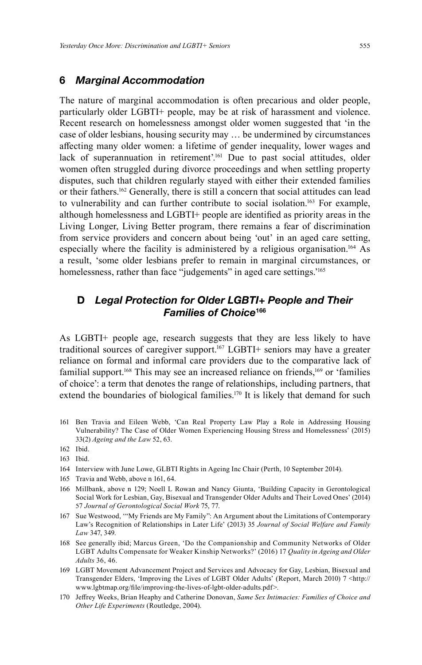### **6** *Marginal Accommodation*

The nature of marginal accommodation is often precarious and older people, particularly older LGBTI+ people, may be at risk of harassment and violence. Recent research on homelessness amongst older women suggested that 'in the case of older lesbians, housing security may … be undermined by circumstances affecting many older women: a lifetime of gender inequality, lower wages and lack of superannuation in retirement'. 161 Due to past social attitudes, older women often struggled during divorce proceedings and when settling property disputes, such that children regularly stayed with either their extended families or their fathers.162 Generally, there is still a concern that social attitudes can lead to vulnerability and can further contribute to social isolation. 163 For example, although homelessness and LGBTI+ people are identified as priority areas in the Living Longer, Living Better program, there remains a fear of discrimination from service providers and concern about being 'out' in an aged care setting, especially where the facility is administered by a religious organisation. 164 As a result, 'some older lesbians prefer to remain in marginal circumstances, or homelessness, rather than face "judgements" in aged care settings.' 165

# **D** *Legal Protection for Older LGBTI+ People and Their Families of Choice***<sup>166</sup>**

As LGBTI+ people age, research suggests that they are less likely to have traditional sources of caregiver support. 167 LGBTI+ seniors may have a greater reliance on formal and informal care providers due to the comparative lack of familial support.<sup>168</sup> This may see an increased reliance on friends,<sup>169</sup> or 'families of choice': a term that denotes the range of relationships, including partners, that extend the boundaries of biological families.<sup>170</sup> It is likely that demand for such

161 Ben Travia and Eileen Webb, 'Can Real Property Law Play a Role in Addressing Housing Vulnerability? The Case of Older Women Experiencing Housing Stress and Homelessness' (2015) 33(2) *Ageing and the Law* 52, 63.

- 164 Interview with June Lowe, GLBTI Rights in Ageing Inc Chair (Perth, 10 September 2014).
- 165 Travia and Webb, above n 161, 64.
- 166 Millbank, above n 129; Noell L Rowan and Nancy Giunta, 'Building Capacity in Gerontological Social Work for Lesbian, Gay, Bisexual and Transgender Older Adults and Their Loved Ones' (2014) 57 *Journal of Gerontological Social Work* 75, 77.
- 167 Sue Westwood, '"My Friends are My Family": An Argument about the Limitations of Contemporary Law's Recognition of Relationships in Later Life' (2013) 35 *Journal of Social Welfare and Family Law* 347, 349.
- 168 See generally ibid; Marcus Green, 'Do the Companionship and Community Networks of Older LGBT Adults Compensate for Weaker Kinship Networks?' (2016) 17 *Quality in Ageing and Older Adults* 36, 46.
- 169 LGBT Movement Advancement Project and Services and Advocacy for Gay, Lesbian, Bisexual and Transgender Elders, 'Improving the Lives of LGBT Older Adults' (Report, March 2010) 7 <http:// www.lgbtmap.org/fi le/improving-the-lives-of-lgbt-older-adults.pdf>.
- 170 Jeff rey Weeks, Brian Heaphy and Catherine Donovan, *Same Sex Intimacies: Families of Choice and Other Life Experiments* (Routledge, 2004).

<sup>162</sup> Ibid.

<sup>163</sup> Ibid.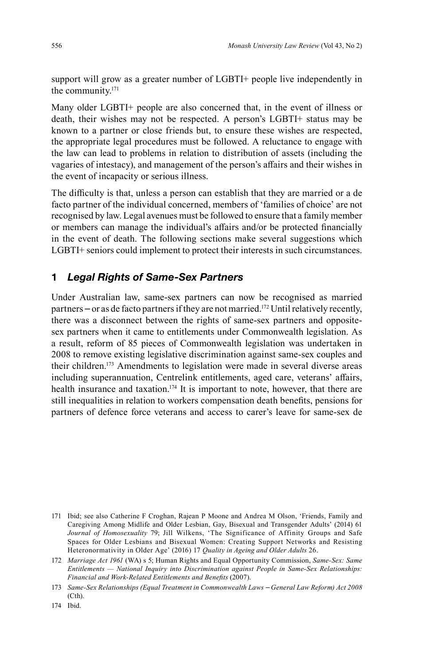support will grow as a greater number of LGBTI+ people live independently in the community. 171

Many older LGBTI+ people are also concerned that, in the event of illness or death, their wishes may not be respected. A person's LGBTI+ status may be known to a partner or close friends but, to ensure these wishes are respected, the appropriate legal procedures must be followed. A reluctance to engage with the law can lead to problems in relation to distribution of assets (including the vagaries of intestacy), and management of the person's affairs and their wishes in the event of incapacity or serious illness.

The difficulty is that, unless a person can establish that they are married or a de facto partner of the individual concerned, members of 'families of choice' are not recognised by law. Legal avenues must be followed to ensure that a family member or members can manage the individual's affairs and/or be protected financially in the event of death. The following sections make several suggestions which LGBTI+ seniors could implement to protect their interests in such circumstances.

# **1** *Legal Rights of Same-Sex Partners*

Under Australian law, same-sex partners can now be recognised as married partners – or as de facto partners if they are not married. 172 Until relatively recently, there was a disconnect between the rights of same-sex partners and oppositesex partners when it came to entitlements under Commonwealth legislation. As a result, reform of 85 pieces of Commonwealth legislation was undertaken in 2008 to remove existing legislative discrimination against same-sex couples and their children. 173 Amendments to legislation were made in several diverse areas including superannuation, Centrelink entitlements, aged care, veterans' affairs, health insurance and taxation.<sup>174</sup> It is important to note, however, that there are still inequalities in relation to workers compensation death benefits, pensions for partners of defence force veterans and access to carer's leave for same-sex de

<sup>171</sup> Ibid; see also Catherine F Croghan, Rajean P Moone and Andrea M Olson, 'Friends, Family and Caregiving Among Midlife and Older Lesbian, Gay, Bisexual and Transgender Adults' (2014) 61 *Journal of Homosexuality* 79; Jill Wilkens, 'The Significance of Affinity Groups and Safe Spaces for Older Lesbians and Bisexual Women: Creating Support Networks and Resisting Heteronormativity in Older Age' (2016) 17 *Quality in Ageing and Older Adults* 26.

<sup>172</sup> *Marriage Act 1961* (WA) s 5; Human Rights and Equal Opportunity Commission, *Same-Sex: Same Entitlements — National Inquiry into Discrimination against People in Same-Sex Relationships: Financial and Work-Related Entitlements and Benefits (2007).* 

<sup>173</sup> *Same-Sex Relationships (Equal Treatment in Commonwealth Laws – General Law Reform) Act 2008* (Cth).

<sup>174</sup> Ibid.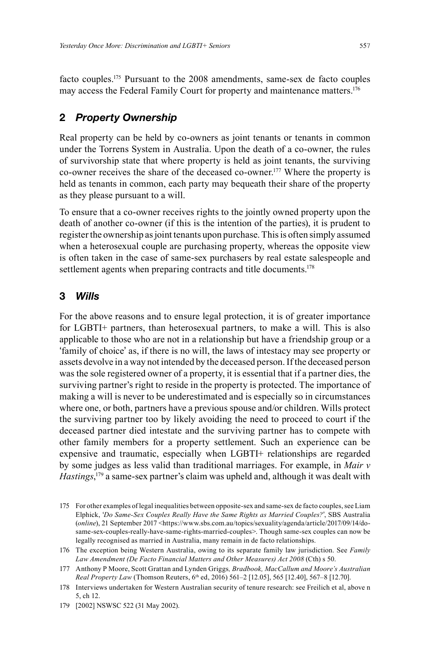facto couples. 175 Pursuant to the 2008 amendments, same-sex de facto couples may access the Federal Family Court for property and maintenance matters. 176

### **2** *Property Ownership*

Real property can be held by co-owners as joint tenants or tenants in common under the Torrens System in Australia. Upon the death of a co-owner, the rules of survivorship state that where property is held as joint tenants, the surviving co-owner receives the share of the deceased co-owner. 177 Where the property is held as tenants in common, each party may bequeath their share of the property as they please pursuant to a will.

To ensure that a co-owner receives rights to the jointly owned property upon the death of another co-owner (if this is the intention of the parties), it is prudent to register the ownership as joint tenants upon purchase. This is often simply assumed when a heterosexual couple are purchasing property, whereas the opposite view is often taken in the case of same-sex purchasers by real estate salespeople and settlement agents when preparing contracts and title documents.<sup>178</sup>

#### **3** *Wills*

For the above reasons and to ensure legal protection, it is of greater importance for LGBTI+ partners, than heterosexual partners, to make a will. This is also applicable to those who are not in a relationship but have a friendship group or a 'family of choice' as, if there is no will, the laws of intestacy may see property or assets devolve in a way not intended by the deceased person. If the deceased person was the sole registered owner of a property, it is essential that if a partner dies, the surviving partner's right to reside in the property is protected. The importance of making a will is never to be underestimated and is especially so in circumstances where one, or both, partners have a previous spouse and/or children. Wills protect the surviving partner too by likely avoiding the need to proceed to court if the deceased partner died intestate and the surviving partner has to compete with other family members for a property settlement. Such an experience can be expensive and traumatic, especially when LGBTI+ relationships are regarded by some judges as less valid than traditional marriages. For example, in *Mair v* Hastings,<sup>179</sup> a same-sex partner's claim was upheld and, although it was dealt with

<sup>175</sup> For other examples of legal inequalities between opposite-sex and same-sex de facto couples, see Liam Elphick, '*Do Same-Sex Couples Really Have the Same Rights as Married Couples?*', SBS Australia (*online*), 21 September 2017 <https://www.sbs.com.au/topics/sexuality/agenda/article/2017/09/14/dosame-sex-couples-really-have-same-rights-married-couples>. Though same-sex couples can now be legally recognised as married in Australia, many remain in de facto relationships.

<sup>176</sup> The exception being Western Australia, owing to its separate family law jurisdiction. See *Family Law Amendment (De Facto Financial Matters and Other Measures) Act 2008* (Cth) s 50.

<sup>177</sup> Anthony P Moore, Scott Grattan and Lynden Griggs*, Bradbook, MacCallum and Moore's Australian Real Property Law* (Thomson Reuters, 6<sup>th</sup> ed, 2016) 561–2 [12.05], 565 [12.40], 567–8 [12.70].

<sup>178</sup> Interviews undertaken for Western Australian security of tenure research: see Freilich et al, above n 5, ch 12.

<sup>179 [2002]</sup> NSWSC 522 (31 May 2002).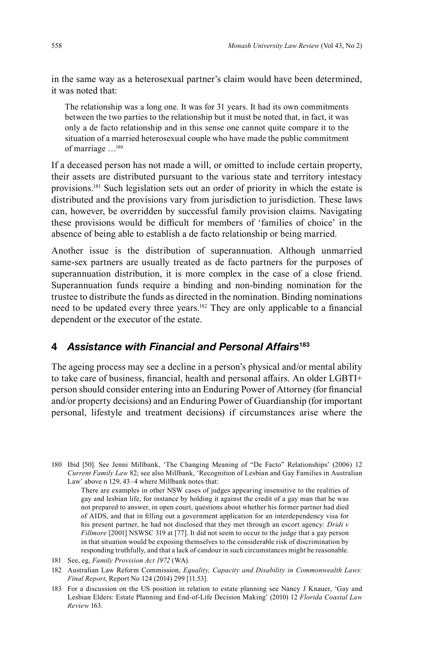in the same way as a heterosexual partner's claim would have been determined, it was noted that:

The relationship was a long one. It was for 31 years. It had its own commitments between the two parties to the relationship but it must be noted that, in fact, it was only a de facto relationship and in this sense one cannot quite compare it to the situation of a married heterosexual couple who have made the public commitment of marriage …180

If a deceased person has not made a will, or omitted to include certain property, their assets are distributed pursuant to the various state and territory intestacy provisions. 181 Such legislation sets out an order of priority in which the estate is distributed and the provisions vary from jurisdiction to jurisdiction. These laws can, however, be overridden by successful family provision claims. Navigating these provisions would be difficult for members of 'families of choice' in the absence of being able to establish a de facto relationship or being married.

Another issue is the distribution of superannuation. Although unmarried same-sex partners are usually treated as de facto partners for the purposes of superannuation distribution, it is more complex in the case of a close friend. Superannuation funds require a binding and non-binding nomination for the trustee to distribute the funds as directed in the nomination. Binding nominations need to be updated every three years.<sup>182</sup> They are only applicable to a financial dependent or the executor of the estate.

### **4** *Assistance with Financial and Personal Affairs***<sup>183</sup>**

The ageing process may see a decline in a person's physical and/or mental ability to take care of business, financial, health and personal affairs. An older LGBTI+ person should consider entering into an Enduring Power of Attorney (for financial and/or property decisions) and an Enduring Power of Guardianship (for important personal, lifestyle and treatment decisions) if circumstances arise where the

 There are examples in other NSW cases of judges appearing insensitive to the realities of gay and lesbian life, for instance by holding it against the credit of a gay man that he was not prepared to answer, in open court, questions about whether his former partner had died of AIDS, and that in filling out a government application for an interdependency visa for his present partner, he had not disclosed that they met through an escort agency: *Dridi v Fillmore* [2001] NSWSC 319 at [77]. It did not seem to occur to the judge that a gay person in that situation would be exposing themselves to the considerable risk of discrimination by responding truthfully, and that a lack of candour in such circumstances might be reasonable.

181 See, eg, *Family Provision Act 1972* (WA).

182 Australian Law Reform Commission, *Equality, Capacity and Disability in Commonwealth Laws: Final Report*, Report No 124 (2014) 299 [11.53].

183 For a discussion on the US position in relation to estate planning see Nancy J Knauer, 'Gay and Lesbian Elders: Estate Planning and End-of-Life Decision Making' (2010) 12 *Florida Coastal Law Review* 163.

<sup>180</sup> Ibid [50]. See Jenni Millbank, 'The Changing Meaning of "De Facto" Relationships' (2006) 12 *Current Family Law* 82; see also Millbank, 'Recognition of Lesbian and Gay Families in Australian Law' above n 129, 43–4 where Millbank notes that: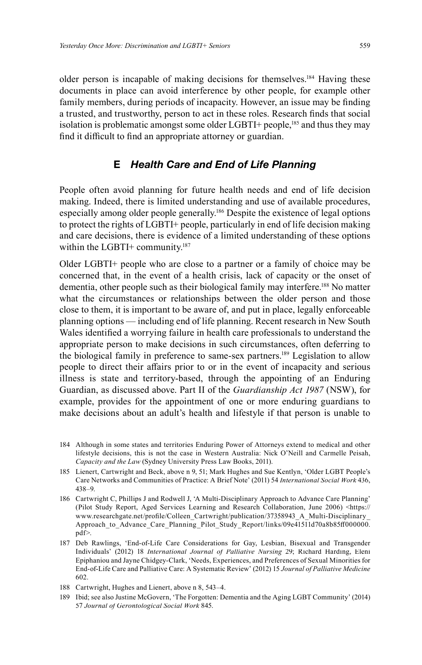older person is incapable of making decisions for themselves. 184 Having these documents in place can avoid interference by other people, for example other family members, during periods of incapacity. However, an issue may be finding a trusted, and trustworthy, person to act in these roles. Research finds that social isolation is problematic amongst some older LGBTI+ people, $185$  and thus they may find it difficult to find an appropriate attorney or guardian.

# **E** *Health Care and End of Life Planning*

People often avoid planning for future health needs and end of life decision making. Indeed, there is limited understanding and use of available procedures, especially among older people generally. 186 Despite the existence of legal options to protect the rights of LGBTI+ people, particularly in end of life decision making and care decisions, there is evidence of a limited understanding of these options within the LGBTI+ community.<sup>187</sup>

Older LGBTI+ people who are close to a partner or a family of choice may be concerned that, in the event of a health crisis, lack of capacity or the onset of dementia, other people such as their biological family may interfere. 188 No matter what the circumstances or relationships between the older person and those close to them, it is important to be aware of, and put in place, legally enforceable planning options — including end of life planning. Recent research in New South Wales identified a worrying failure in health care professionals to understand the appropriate person to make decisions in such circumstances, often deferring to the biological family in preference to same-sex partners. 189 Legislation to allow people to direct their affairs prior to or in the event of incapacity and serious illness is state and territory-based, through the appointing of an Enduring Guardian, as discussed above. Part II of the *Guardianship Act 1987* (NSW), for example, provides for the appointment of one or more enduring guardians to make decisions about an adult's health and lifestyle if that person is unable to

- 184 Although in some states and territories Enduring Power of Attorneys extend to medical and other lifestyle decisions, this is not the case in Western Australia: Nick O'Neill and Carmelle Peisah, *Capacity and the Law* (Sydney University Press Law Books, 2011).
- 185 Lienert, Cartwright and Beck, above n 9, 51; Mark Hughes and Sue Kentlyn, 'Older LGBT People's Care Networks and Communities of Practice: A Brief Note' (2011) 54 *International Social Work* 436, 438–9.
- 186 Cartwright C, Phillips J and Rodwell J, 'A Multi-Disciplinary Approach to Advance Care Planning' (Pilot Study Report, Aged Services Learning and Research Collaboration, June 2006) <https:// www.researchgate.net/profile/Colleen\_Cartwright/publication/37358943\_A\_Multi-Disciplinary Approach\_to\_Advance\_Care\_Planning\_Pilot\_Study\_Report/links/09e41511d70a8b85ff000000. pdf>.
- 187 Deb Rawlings, 'End-of-Life Care Considerations for Gay, Lesbian, Bisexual and Transgender Individuals' (2012) 18 *International Journal of Palliative Nursing* 29; Richard Harding, Eleni Epiphaniou and Jayne Chidgey-Clark, 'Needs, Experiences, and Preferences of Sexual Minorities for End-of-Life Care and Palliative Care: A Systematic Review' (2012) 15 *Journal of Palliative Medicine* 602.
- 188 Cartwright, Hughes and Lienert, above n 8, 543–4.
- 189 Ibid; see also Justine McGovern, 'The Forgotten: Dementia and the Aging LGBT Community' (2014) 57 *Journal of Gerontological Social Work* 845.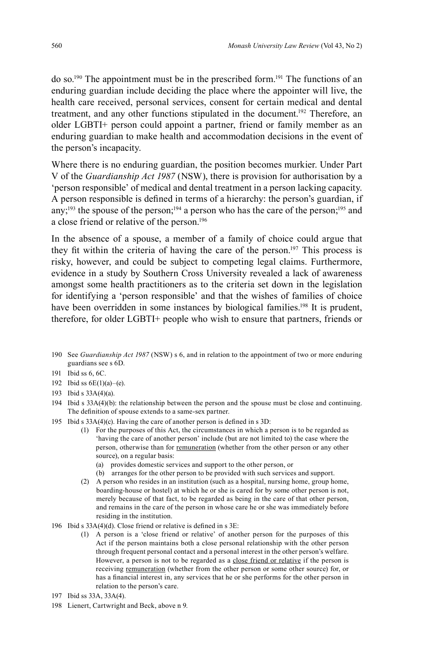do so.190 The appointment must be in the prescribed form. 191 The functions of an enduring guardian include deciding the place where the appointer will live, the health care received, personal services, consent for certain medical and dental treatment, and any other functions stipulated in the document. <sup>192</sup> Therefore, an older LGBTI+ person could appoint a partner, friend or family member as an enduring guardian to make health and accommodation decisions in the event of the person's incapacity.

Where there is no enduring guardian, the position becomes murkier. Under Part V of the *Guardianship Act 1987* (NSW), there is provision for authorisation by a 'person responsible' of medical and dental treatment in a person lacking capacity. A person responsible is defined in terms of a hierarchy: the person's guardian, if any;<sup>193</sup> the spouse of the person;<sup>194</sup> a person who has the care of the person;<sup>195</sup> and a close friend or relative of the person. 196

In the absence of a spouse, a member of a family of choice could argue that they fit within the criteria of having the care of the person.<sup>197</sup> This process is risky, however, and could be subject to competing legal claims. Furthermore, evidence in a study by Southern Cross University revealed a lack of awareness amongst some health practitioners as to the criteria set down in the legislation for identifying a 'person responsible' and that the wishes of families of choice have been overridden in some instances by biological families.<sup>198</sup> It is prudent, therefore, for older LGBTI+ people who wish to ensure that partners, friends or

- 190 See *Guardianship Act 1987* (NSW) s 6, and in relation to the appointment of two or more enduring guardians see s 6D.
- 191 Ibid ss 6, 6C.
- 192 Ibid ss 6E(1)(a)–(e).
- 193 Ibid s 33A(4)(a).
- 194 Ibid s 33A(4)(b): the relationship between the person and the spouse must be close and continuing. The definition of spouse extends to a same-sex partner.
- 195 Ibid s  $33A(4)(c)$ . Having the care of another person is defined in s 3D:
	- (1) For the purposes of this Act, the circumstances in which a person is to be regarded as 'having the care of another person' include (but are not limited to) the case where the person, otherwise than for remuneration (whether from the other person or any other source), on a regular basis:
		- (a) provides domestic services and support to the other person, or
		- (b) arranges for the other person to be provided with such services and support.
	- (2) A person who resides in an institution (such as a hospital, nursing home, group home, boarding-house or hostel) at which he or she is cared for by some other person is not, merely because of that fact, to be regarded as being in the care of that other person, and remains in the care of the person in whose care he or she was immediately before residing in the institution.
- 196 Ibid s  $33A(4)(d)$ . Close friend or relative is defined in s 3E:
	- (1) A person is a 'close friend or relative' of another person for the purposes of this Act if the person maintains both a close personal relationship with the other person through frequent personal contact and a personal interest in the other person's welfare. However, a person is not to be regarded as a close friend or relative if the person is receiving remuneration (whether from the other person or some other source) for, or has a financial interest in, any services that he or she performs for the other person in relation to the person's care.
- 197 Ibid ss 33A, 33A(4).
- 198 Lienert, Cartwright and Beck, above n 9.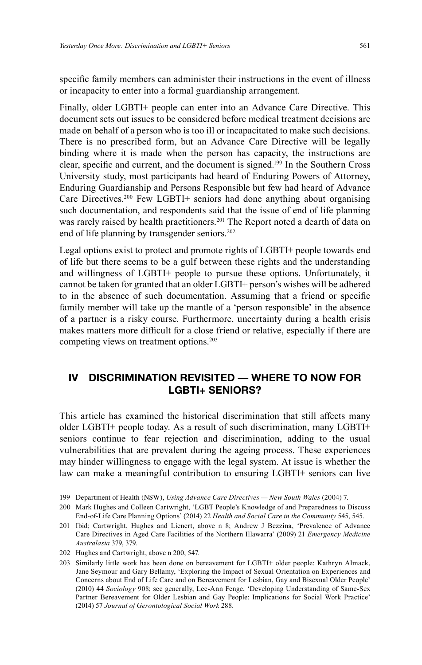specific family members can administer their instructions in the event of illness or incapacity to enter into a formal guardianship arrangement.

Finally, older LGBTI+ people can enter into an Advance Care Directive. This document sets out issues to be considered before medical treatment decisions are made on behalf of a person who is too ill or incapacitated to make such decisions. There is no prescribed form, but an Advance Care Directive will be legally binding where it is made when the person has capacity, the instructions are clear, specific and current, and the document is signed.<sup>199</sup> In the Southern Cross University study, most participants had heard of Enduring Powers of Attorney, Enduring Guardianship and Persons Responsible but few had heard of Advance Care Directives. 200 Few LGBTI+ seniors had done anything about organising such documentation, and respondents said that the issue of end of life planning was rarely raised by health practitioners. 201 The Report noted a dearth of data on end of life planning by transgender seniors. 202

Legal options exist to protect and promote rights of LGBTI+ people towards end of life but there seems to be a gulf between these rights and the understanding and willingness of LGBTI+ people to pursue these options. Unfortunately, it cannot be taken for granted that an older LGBTI+ person's wishes will be adhered to in the absence of such documentation. Assuming that a friend or specific family member will take up the mantle of a 'person responsible' in the absence of a partner is a risky course. Furthermore, uncertainty during a health crisis makes matters more difficult for a close friend or relative, especially if there are competing views on treatment options. 203

# **IV DISCRIMINATION REVISITED — WHERE TO NOW FOR LGBTI+ SENIORS?**

This article has examined the historical discrimination that still affects many older LGBTI+ people today. As a result of such discrimination, many LGBTI+ seniors continue to fear rejection and discrimination, adding to the usual vulnerabilities that are prevalent during the ageing process. These experiences may hinder willingness to engage with the legal system. At issue is whether the law can make a meaningful contribution to ensuring LGBTI+ seniors can live

<sup>199</sup> Department of Health (NSW), *Using Advance Care Directives — New South Wales* (2004) 7.

<sup>200</sup> Mark Hughes and Colleen Cartwright, 'LGBT People's Knowledge of and Preparedness to Discuss End-of-Life Care Planning Options' (2014) 22 *Health and Social Care in the Community* 545, 545.

<sup>201</sup> Ibid; Cartwright, Hughes and Lienert, above n 8; Andrew J Bezzina, 'Prevalence of Advance Care Directives in Aged Care Facilities of the Northern Illawarra' (2009) 21 *Emergency Medicine Australasia* 379, 379.

<sup>202</sup> Hughes and Cartwright, above n 200, 547.

<sup>203</sup> Similarly little work has been done on bereavement for LGBTI+ older people: Kathryn Almack, Jane Seymour and Gary Bellamy, 'Exploring the Impact of Sexual Orientation on Experiences and Concerns about End of Life Care and on Bereavement for Lesbian, Gay and Bisexual Older People' (2010) 44 *Sociology* 908; see generally, Lee-Ann Fenge, 'Developing Understanding of Same-Sex Partner Bereavement for Older Lesbian and Gay People: Implications for Social Work Practice' (2014) 57 *Journal of Gerontological Social Work* 288.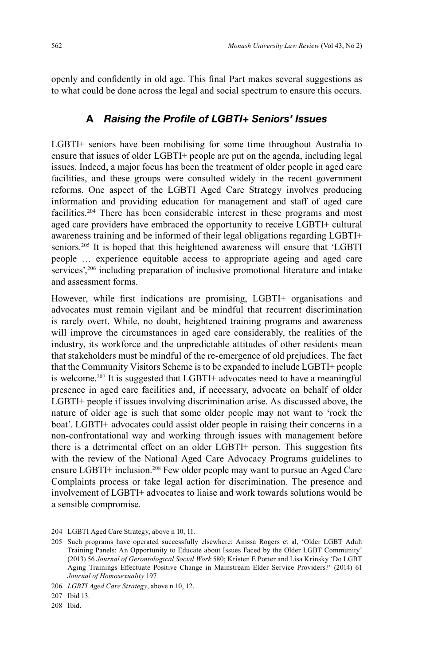openly and confidently in old age. This final Part makes several suggestions as to what could be done across the legal and social spectrum to ensure this occurs.

### A Raising the Profile of LGBTI+ Seniors' Issues

LGBTI+ seniors have been mobilising for some time throughout Australia to ensure that issues of older LGBTI+ people are put on the agenda, including legal issues. Indeed, a major focus has been the treatment of older people in aged care facilities, and these groups were consulted widely in the recent government reforms. One aspect of the LGBTI Aged Care Strategy involves producing information and providing education for management and staff of aged care facilities.204 There has been considerable interest in these programs and most aged care providers have embraced the opportunity to receive LGBTI+ cultural awareness training and be informed of their legal obligations regarding LGBTI+ seniors.205 It is hoped that this heightened awareness will ensure that 'LGBTI people … experience equitable access to appropriate ageing and aged care services',<sup>206</sup> including preparation of inclusive promotional literature and intake and assessment forms.

However, while first indications are promising, LGBTI+ organisations and advocates must remain vigilant and be mindful that recurrent discrimination is rarely overt. While, no doubt, heightened training programs and awareness will improve the circumstances in aged care considerably, the realities of the industry, its workforce and the unpredictable attitudes of other residents mean that stakeholders must be mindful of the re-emergence of old prejudices. The fact that the Community Visitors Scheme is to be expanded to include LGBTI+ people is welcome.<sup>207</sup> It is suggested that LGBTI+ advocates need to have a meaningful presence in aged care facilities and, if necessary, advocate on behalf of older LGBTI+ people if issues involving discrimination arise. As discussed above, the nature of older age is such that some older people may not want to 'rock the boat'. LGBTI+ advocates could assist older people in raising their concerns in a non-confrontational way and working through issues with management before there is a detrimental effect on an older LGBTI+ person. This suggestion fits with the review of the National Aged Care Advocacy Programs guidelines to ensure LGBTI+ inclusion. 208 Few older people may want to pursue an Aged Care Complaints process or take legal action for discrimination. The presence and involvement of LGBTI+ advocates to liaise and work towards solutions would be a sensible compromise.

208 Ibid.

<sup>204</sup> LGBTI Aged Care Strategy, above n 10, 11.

<sup>205</sup> Such programs have operated successfully elsewhere: Anissa Rogers et al, 'Older LGBT Adult Training Panels: An Opportunity to Educate about Issues Faced by the Older LGBT Community' (2013) 56 *Journal of Gerontological Social Work* 580; Kristen E Porter and Lisa Krinsky 'Do LGBT Aging Trainings Effectuate Positive Change in Mainstream Elder Service Providers?' (2014) 61 *Journal of Homosexuality* 197.

<sup>206</sup> *LGBTI Aged Care Strategy*, above n 10, 12.

<sup>207</sup> Ibid 13.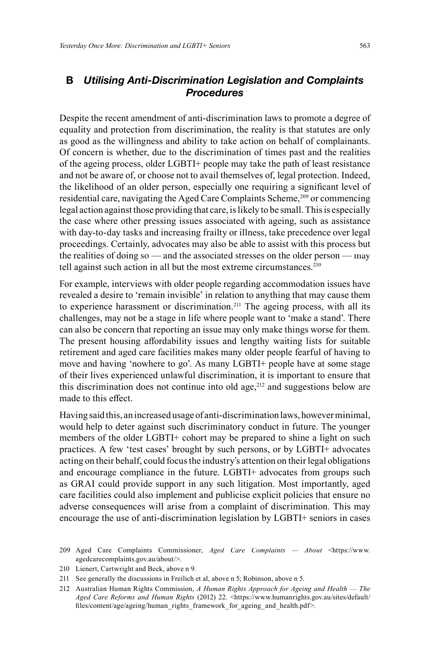# **B** *Utilising Anti-Discrimination Legislation and Complaints Procedures*

Despite the recent amendment of anti-discrimination laws to promote a degree of equality and protection from discrimination, the reality is that statutes are only as good as the willingness and ability to take action on behalf of complainants. Of concern is whether, due to the discrimination of times past and the realities of the ageing process, older LGBTI+ people may take the path of least resistance and not be aware of, or choose not to avail themselves of, legal protection. Indeed, the likelihood of an older person, especially one requiring a significant level of residential care, navigating the Aged Care Complaints Scheme,<sup>209</sup> or commencing legal action against those providing that care, is likely to be small. This is especially the case where other pressing issues associated with ageing, such as assistance with day-to-day tasks and increasing frailty or illness, take precedence over legal proceedings. Certainly, advocates may also be able to assist with this process but the realities of doing so — and the associated stresses on the older person — may tell against such action in all but the most extreme circumstances. 210

For example, interviews with older people regarding accommodation issues have revealed a desire to 'remain invisible' in relation to anything that may cause them to experience harassment or discrimination.<sup>211</sup> The ageing process, with all its challenges, may not be a stage in life where people want to 'make a stand'. There can also be concern that reporting an issue may only make things worse for them. The present housing affordability issues and lengthy waiting lists for suitable retirement and aged care facilities makes many older people fearful of having to move and having 'nowhere to go'. As many LGBTI+ people have at some stage of their lives experienced unlawful discrimination, it is important to ensure that this discrimination does not continue into old age, $212$  and suggestions below are made to this effect.

Having said this, an increased usage of anti-discrimination laws, however minimal, would help to deter against such discriminatory conduct in future. The younger members of the older LGBTI+ cohort may be prepared to shine a light on such practices. A few 'test cases' brought by such persons, or by LGBTI+ advocates acting on their behalf, could focus the industry's attention on their legal obligations and encourage compliance in the future. LGBTI+ advocates from groups such as GRAI could provide support in any such litigation. Most importantly, aged care facilities could also implement and publicise explicit policies that ensure no adverse consequences will arise from a complaint of discrimination. This may encourage the use of anti-discrimination legislation by LGBTI+ seniors in cases

<sup>209</sup> Aged Care Complaints Commissioner, *Aged Care Complaints — About* <https://www. agedcarecomplaints.gov.au/about/>.

<sup>210</sup> Lienert, Cartwright and Beck, above n 9.

<sup>211</sup> See generally the discussions in Freilich et al, above n 5; Robinson, above n 5.

<sup>212</sup> Australian Human Rights Commission, *A Human Rights Approach for Ageing and Health* — *The Aged Care Reforms and Human Rights* (2012) 22. <https://www.humanrights.gov.au/sites/default/ fi les/content/age/ageing/human\_rights\_framework\_for\_ageing\_and\_health.pdf>.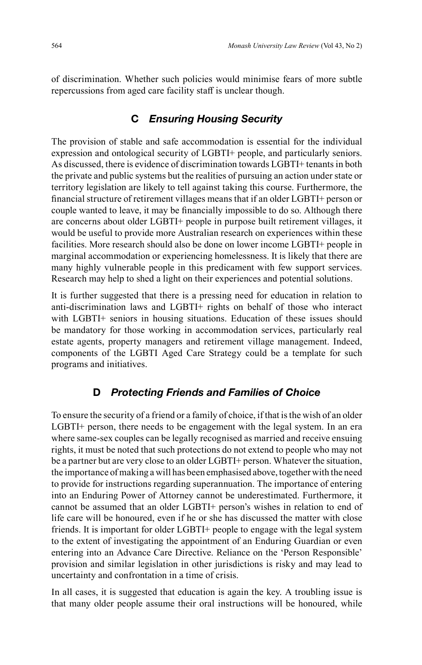of discrimination. Whether such policies would minimise fears of more subtle repercussions from aged care facility staff is unclear though.

# **C** *Ensuring Housing Security*

The provision of stable and safe accommodation is essential for the individual expression and ontological security of LGBTI+ people, and particularly seniors. As discussed, there is evidence of discrimination towards LGBTI+ tenants in both the private and public systems but the realities of pursuing an action under state or territory legislation are likely to tell against taking this course. Furthermore, the financial structure of retirement villages means that if an older LGBTI+ person or couple wanted to leave, it may be financially impossible to do so. Although there are concerns about older LGBTI+ people in purpose built retirement villages, it would be useful to provide more Australian research on experiences within these facilities. More research should also be done on lower income LGBTI+ people in marginal accommodation or experiencing homelessness. It is likely that there are many highly vulnerable people in this predicament with few support services. Research may help to shed a light on their experiences and potential solutions.

It is further suggested that there is a pressing need for education in relation to anti-discrimination laws and LGBTI+ rights on behalf of those who interact with LGBTI+ seniors in housing situations. Education of these issues should be mandatory for those working in accommodation services, particularly real estate agents, property managers and retirement village management. Indeed, components of the LGBTI Aged Care Strategy could be a template for such programs and initiatives.

### **D** *Protecting Friends and Families of Choice*

To ensure the security of a friend or a family of choice, if that is the wish of an older LGBTI+ person, there needs to be engagement with the legal system. In an era where same-sex couples can be legally recognised as married and receive ensuing rights, it must be noted that such protections do not extend to people who may not be a partner but are very close to an older LGBTI+ person. Whatever the situation, the importance of making a will has been emphasised above, together with the need to provide for instructions regarding superannuation. The importance of entering into an Enduring Power of Attorney cannot be underestimated. Furthermore, it cannot be assumed that an older LGBTI+ person's wishes in relation to end of life care will be honoured, even if he or she has discussed the matter with close friends. It is important for older LGBTI+ people to engage with the legal system to the extent of investigating the appointment of an Enduring Guardian or even entering into an Advance Care Directive. Reliance on the 'Person Responsible' provision and similar legislation in other jurisdictions is risky and may lead to uncertainty and confrontation in a time of crisis.

In all cases, it is suggested that education is again the key. A troubling issue is that many older people assume their oral instructions will be honoured, while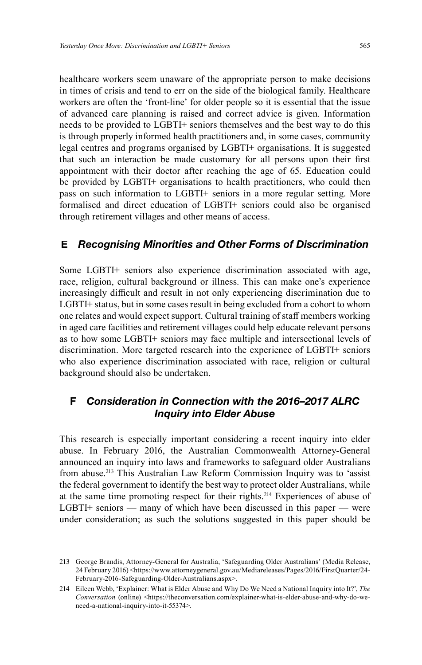healthcare workers seem unaware of the appropriate person to make decisions in times of crisis and tend to err on the side of the biological family. Healthcare workers are often the 'front-line' for older people so it is essential that the issue of advanced care planning is raised and correct advice is given. Information needs to be provided to LGBTI+ seniors themselves and the best way to do this is through properly informed health practitioners and, in some cases, community legal centres and programs organised by LGBTI+ organisations. It is suggested that such an interaction be made customary for all persons upon their first appointment with their doctor after reaching the age of 65. Education could be provided by LGBTI+ organisations to health practitioners, who could then pass on such information to LGBTI+ seniors in a more regular setting. More formalised and direct education of LGBTI+ seniors could also be organised through retirement villages and other means of access.

### **E** *Recognising Minorities and Other Forms of Discrimination*

Some LGBTI+ seniors also experience discrimination associated with age, race, religion, cultural background or illness. This can make one's experience increasingly difficult and result in not only experiencing discrimination due to LGBTI+ status, but in some cases result in being excluded from a cohort to whom one relates and would expect support. Cultural training of staff members working in aged care facilities and retirement villages could help educate relevant persons as to how some LGBTI+ seniors may face multiple and intersectional levels of discrimination. More targeted research into the experience of LGBTI+ seniors who also experience discrimination associated with race, religion or cultural background should also be undertaken.

# **F** *Consideration in Connection with the 2016–2017 ALRC Inquiry into Elder Abuse*

This research is especially important considering a recent inquiry into elder abuse. In February 2016, the Australian Commonwealth Attorney-General announced an inquiry into laws and frameworks to safeguard older Australians from abuse.<sup>213</sup> This Australian Law Reform Commission Inquiry was to 'assist the federal government to identify the best way to protect older Australians, while at the same time promoting respect for their rights. 214 Experiences of abuse of LGBTI+ seniors — many of which have been discussed in this paper — were under consideration; as such the solutions suggested in this paper should be

<sup>213</sup> George Brandis, Attorney-General for Australia, 'Safeguarding Older Australians' (Media Release, 24 February 2016) <https://www.attorneygeneral.gov.au/Mediareleases/Pages/2016/FirstQuarter/24- February-2016-Safeguarding-Older-Australians.aspx>.

<sup>214</sup> Eileen Webb, 'Explainer: What is Elder Abuse and Why Do We Need a National Inquiry into It?', *The Conversation* (online) <https://theconversation.com/explainer-what-is-elder-abuse-and-why-do-weneed-a-national-inquiry-into-it-55374>.